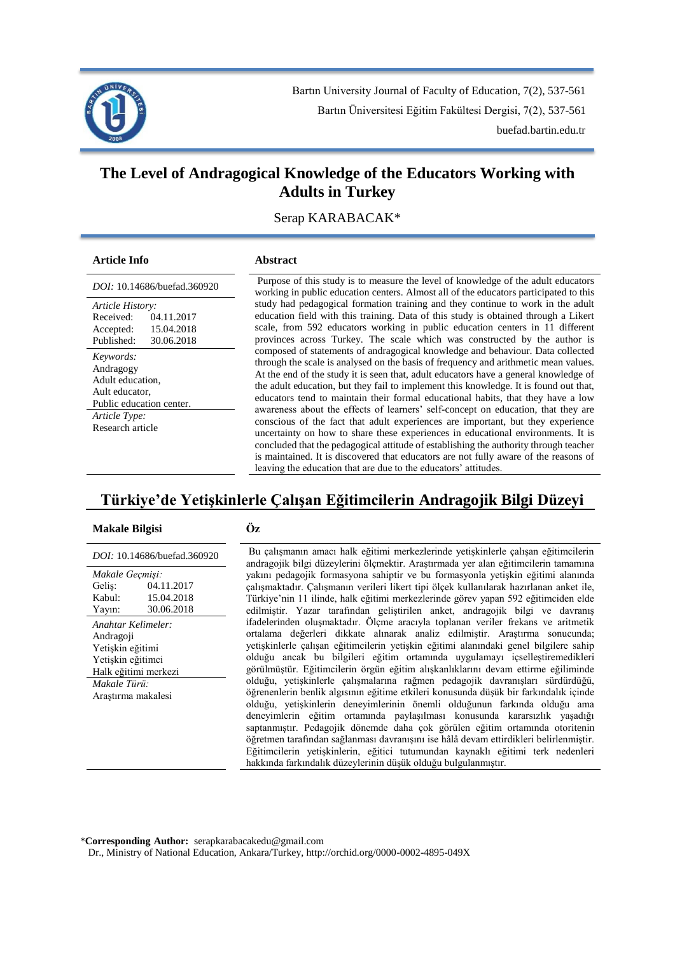

Bartın University Journal of Faculty of Education, 7(2), 537-561 Bartın Üniversitesi Eğitim Fakültesi Dergisi, 7(2), 537-561 buefad.bartin.edu.tr

# **The Level of Andragogical Knowledge of the Educators Working with Adults in Turkey**

Serap KARABACAK\*

# **Article Info Abstract**

| <i>DOI</i> : 10.14686/buefad.360920 |            |  |
|-------------------------------------|------------|--|
| Article History:                    |            |  |
| Received:                           | 04.11.2017 |  |
| Accepted:                           | 15.04.2018 |  |
| Published:                          | 30.06.2018 |  |
| Keywords:                           |            |  |
| Andragogy                           |            |  |
| Adult education.                    |            |  |
| Ault educator,                      |            |  |
| Public education center.            |            |  |
| Article Type:                       |            |  |
| Research article                    |            |  |
|                                     |            |  |
|                                     |            |  |

*Purpose* of this study is to measure the level of knowledge of the adult educators working in public education centers. Almost all of the educators participated to this study had pedagogical formation training and they continue to work in the adult education field with this training. Data of this study is obtained through a Likert scale, from 592 educators working in public education centers in 11 different provinces across Turkey. The scale which was constructed by the author is composed of statements of andragogical knowledge and behaviour. Data collected through the scale is analysed on the basis of frequency and arithmetic mean values. At the end of the study it is seen that, adult educators have a general knowledge of the adult education, but they fail to implement this knowledge. It is found out that, educators tend to maintain their formal educational habits, that they have a low awareness about the effects of learners' self-concept on education, that they are conscious of the fact that adult experiences are important, but they experience uncertainty on how to share these experiences in educational environments. It is concluded that the pedagogical attitude of establishing the authority through teacher is maintained. It is discovered that educators are not fully aware of the reasons of leaving the education that are due to the educators' attitudes.

# **Türkiye'de Yetişkinlerle Çalışan Eğitimcilerin Andragojik Bilgi Düzeyi**

# **Makale Bilgisi Öz**

| DOI: 10.14686/buefad.360920 |            |  |
|-----------------------------|------------|--|
| Makale Geçmişi:             |            |  |
| Gelis:                      | 04.11.2017 |  |
| Kabul:                      | 15.04.2018 |  |
| Yayın:                      | 30.06.2018 |  |
| Anahtar Kelimeler:          |            |  |
| Andragoji                   |            |  |
| Yetişkin eğitimi            |            |  |
| Yetişkin eğitimci           |            |  |
| Halk eğitimi merkezi        |            |  |
| Makale Türü:                |            |  |
| Arastırma makalesi          |            |  |
|                             |            |  |
|                             |            |  |
|                             |            |  |

Bu çalışmanın amacı halk eğitimi merkezlerinde yetişkinlerle çalışan eğitimcilerin andragojik bilgi düzeylerini ölçmektir. Araştırmada yer alan eğitimcilerin tamamına yakını pedagojik formasyona sahiptir ve bu formasyonla yetişkin eğitimi alanında çalışmaktadır. Çalışmanın verileri likert tipi ölçek kullanılarak hazırlanan anket ile, Türkiye'nin 11 ilinde, halk eğitimi merkezlerinde görev yapan 592 eğitimciden elde edilmiştir. Yazar tarafından geliştirilen anket, andragojik bilgi ve davranış ifadelerinden oluşmaktadır. Ölçme aracıyla toplanan veriler frekans ve aritmetik ortalama değerleri dikkate alınarak analiz edilmiştir. Araştırma sonucunda; yetişkinlerle çalışan eğitimcilerin yetişkin eğitimi alanındaki genel bilgilere sahip olduğu ancak bu bilgileri eğitim ortamında uygulamayı içselleştiremedikleri görülmüştür. Eğitimcilerin örgün eğitim alışkanlıklarını devam ettirme eğiliminde olduğu, yetişkinlerle çalışmalarına rağmen pedagojik davranışları sürdürdüğü, öğrenenlerin benlik algısının eğitime etkileri konusunda düşük bir farkındalık içinde olduğu, yetişkinlerin deneyimlerinin önemli olduğunun farkında olduğu ama deneyimlerin eğitim ortamında paylaşılması konusunda kararsızlık yaşadığı saptanmıştır. Pedagojik dönemde daha çok görülen eğitim ortamında otoritenin öğretmen tarafından sağlanması davranışını ise hâlâ devam ettirdikleri belirlenmiştir. Eğitimcilerin yetişkinlerin, eğitici tutumundan kaynaklı eğitimi terk nedenleri hakkında farkındalık düzeylerinin düşük olduğu bulgulanmıştır.

\***Corresponding Author:** serapkarabacakedu@gmail.com

Dr., Ministry of National Education, Ankara/Turkey, http://orchid.org/0000-0002-4895-049X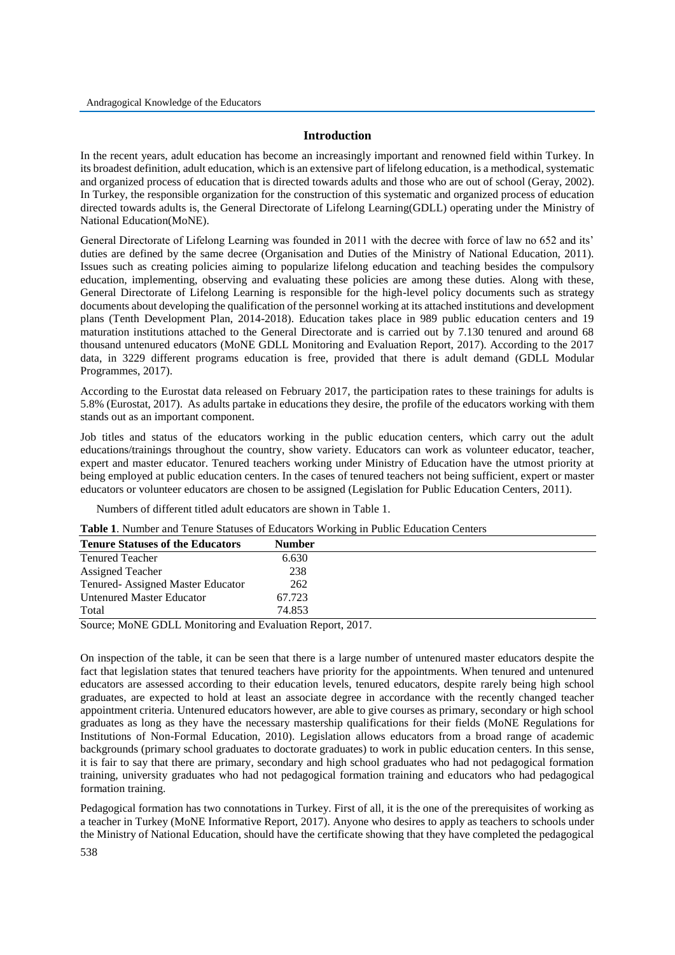# **Introduction**

In the recent years, adult education has become an increasingly important and renowned field within Turkey. In its broadest definition, adult education, which is an extensive part of lifelong education, is a methodical, systematic and organized process of education that is directed towards adults and those who are out of school (Geray, 2002). In Turkey, the responsible organization for the construction of this systematic and organized process of education directed towards adults is, the General Directorate of Lifelong Learning(GDLL) operating under the Ministry of National Education(MoNE).

General Directorate of Lifelong Learning was founded in 2011 with the decree with force of law no 652 and its' duties are defined by the same decree (Organisation and Duties of the Ministry of National Education, 2011). Issues such as creating policies aiming to popularize lifelong education and teaching besides the compulsory education, implementing, observing and evaluating these policies are among these duties. Along with these, General Directorate of Lifelong Learning is responsible for the high-level policy documents such as strategy documents about developing the qualification of the personnel working at its attached institutions and development plans (Tenth Development Plan, 2014-2018). Education takes place in 989 public education centers and 19 maturation institutions attached to the General Directorate and is carried out by 7.130 tenured and around 68 thousand untenured educators (MoNE GDLL Monitoring and Evaluation Report, 2017). According to the 2017 data, in 3229 different programs education is free, provided that there is adult demand (GDLL Modular Programmes, 2017).

According to the Eurostat data released on February 2017, the participation rates to these trainings for adults is 5.8% (Eurostat, 2017). As adults partake in educations they desire, the profile of the educators working with them stands out as an important component.

Job titles and status of the educators working in the public education centers, which carry out the adult educations/trainings throughout the country, show variety. Educators can work as volunteer educator, teacher, expert and master educator. Tenured teachers working under Ministry of Education have the utmost priority at being employed at public education centers. In the cases of tenured teachers not being sufficient, expert or master educators or volunteer educators are chosen to be assigned (Legislation for Public Education Centers, 2011).

Numbers of different titled adult educators are shown in Table 1.

| Table 1. Number and Tenure Statuses of Educators Working in Public Education Centers |  |  |  |  |  |  |
|--------------------------------------------------------------------------------------|--|--|--|--|--|--|
|--------------------------------------------------------------------------------------|--|--|--|--|--|--|

| <b>Tenure Statuses of the Educators</b> | <b>Number</b> |  |
|-----------------------------------------|---------------|--|
| <b>Tenured Teacher</b>                  | 6.630         |  |
| <b>Assigned Teacher</b>                 | 238           |  |
| Tenured-Assigned Master Educator        | 262           |  |
| <b>Untenured Master Educator</b>        | 67.723        |  |
| Total                                   | 74.853        |  |

Source; MoNE GDLL Monitoring and Evaluation Report, 2017.

On inspection of the table, it can be seen that there is a large number of untenured master educators despite the fact that legislation states that tenured teachers have priority for the appointments. When tenured and untenured educators are assessed according to their education levels, tenured educators, despite rarely being high school graduates, are expected to hold at least an associate degree in accordance with the recently changed teacher appointment criteria. Untenured educators however, are able to give courses as primary, secondary or high school graduates as long as they have the necessary mastership qualifications for their fields (MoNE Regulations for Institutions of Non-Formal Education, 2010). Legislation allows educators from a broad range of academic backgrounds (primary school graduates to doctorate graduates) to work in public education centers. In this sense, it is fair to say that there are primary, secondary and high school graduates who had not pedagogical formation training, university graduates who had not pedagogical formation training and educators who had pedagogical formation training.

538 Pedagogical formation has two connotations in Turkey. First of all, it is the one of the prerequisites of working as a teacher in Turkey (MoNE Informative Report, 2017). Anyone who desires to apply as teachers to schools under the Ministry of National Education, should have the certificate showing that they have completed the pedagogical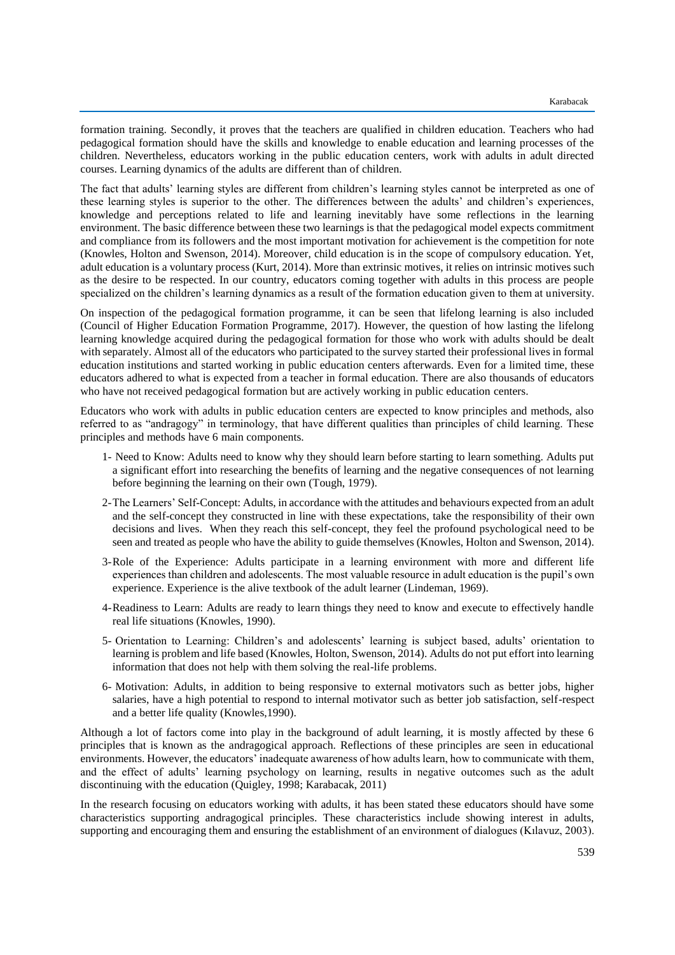formation training. Secondly, it proves that the teachers are qualified in children education. Teachers who had pedagogical formation should have the skills and knowledge to enable education and learning processes of the children. Nevertheless, educators working in the public education centers, work with adults in adult directed courses. Learning dynamics of the adults are different than of children.

The fact that adults' learning styles are different from children's learning styles cannot be interpreted as one of these learning styles is superior to the other. The differences between the adults' and children's experiences, knowledge and perceptions related to life and learning inevitably have some reflections in the learning environment. The basic difference between these two learnings is that the pedagogical model expects commitment and compliance from its followers and the most important motivation for achievement is the competition for note (Knowles, Holton and Swenson, 2014). Moreover, child education is in the scope of compulsory education. Yet, adult education is a voluntary process (Kurt, 2014). More than extrinsic motives, it relies on intrinsic motives such as the desire to be respected. In our country, educators coming together with adults in this process are people specialized on the children's learning dynamics as a result of the formation education given to them at university.

On inspection of the pedagogical formation programme, it can be seen that lifelong learning is also included (Council of Higher Education Formation Programme, 2017). However, the question of how lasting the lifelong learning knowledge acquired during the pedagogical formation for those who work with adults should be dealt with separately. Almost all of the educators who participated to the survey started their professional lives in formal education institutions and started working in public education centers afterwards. Even for a limited time, these educators adhered to what is expected from a teacher in formal education. There are also thousands of educators who have not received pedagogical formation but are actively working in public education centers.

Educators who work with adults in public education centers are expected to know principles and methods, also referred to as "andragogy" in terminology, that have different qualities than principles of child learning. These principles and methods have 6 main components.

- 1- Need to Know: Adults need to know why they should learn before starting to learn something. Adults put a significant effort into researching the benefits of learning and the negative consequences of not learning before beginning the learning on their own (Tough, 1979).
- 2-The Learners' Self-Concept: Adults, in accordance with the attitudes and behaviours expected from an adult and the self-concept they constructed in line with these expectations, take the responsibility of their own decisions and lives. When they reach this self-concept, they feel the profound psychological need to be seen and treated as people who have the ability to guide themselves (Knowles, Holton and Swenson, 2014).
- 3-Role of the Experience: Adults participate in a learning environment with more and different life experiences than children and adolescents. The most valuable resource in adult education is the pupil's own experience. Experience is the alive textbook of the adult learner (Lindeman, 1969).
- 4-Readiness to Learn: Adults are ready to learn things they need to know and execute to effectively handle real life situations (Knowles, 1990).
- 5- Orientation to Learning: Children's and adolescents' learning is subject based, adults' orientation to learning is problem and life based (Knowles, Holton, Swenson, 2014). Adults do not put effort into learning information that does not help with them solving the real-life problems.
- 6- Motivation: Adults, in addition to being responsive to external motivators such as better jobs, higher salaries, have a high potential to respond to internal motivator such as better job satisfaction, self-respect and a better life quality (Knowles,1990).

Although a lot of factors come into play in the background of adult learning, it is mostly affected by these 6 principles that is known as the andragogical approach. Reflections of these principles are seen in educational environments. However, the educators' inadequate awareness of how adults learn, how to communicate with them, and the effect of adults' learning psychology on learning, results in negative outcomes such as the adult discontinuing with the education (Quigley, 1998; Karabacak, 2011)

In the research focusing on educators working with adults, it has been stated these educators should have some characteristics supporting andragogical principles. These characteristics include showing interest in adults, supporting and encouraging them and ensuring the establishment of an environment of dialogues (Kılavuz, 2003).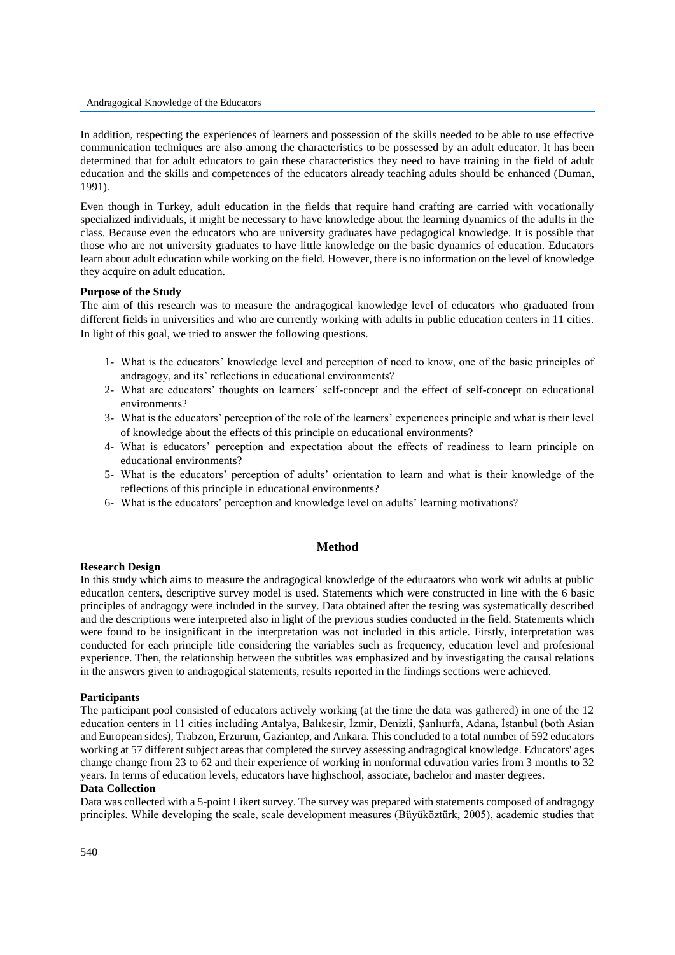#### Andragogical Knowledge of the Educators

In addition, respecting the experiences of learners and possession of the skills needed to be able to use effective communication techniques are also among the characteristics to be possessed by an adult educator. It has been determined that for adult educators to gain these characteristics they need to have training in the field of adult education and the skills and competences of the educators already teaching adults should be enhanced (Duman, 1991).

Even though in Turkey, adult education in the fields that require hand crafting are carried with vocationally specialized individuals, it might be necessary to have knowledge about the learning dynamics of the adults in the class. Because even the educators who are university graduates have pedagogical knowledge. It is possible that those who are not university graduates to have little knowledge on the basic dynamics of education. Educators learn about adult education while working on the field. However, there is no information on the level of knowledge they acquire on adult education.

### **Purpose of the Study**

The aim of this research was to measure the andragogical knowledge level of educators who graduated from different fields in universities and who are currently working with adults in public education centers in 11 cities. In light of this goal, we tried to answer the following questions.

- 1- What is the educators' knowledge level and perception of need to know, one of the basic principles of andragogy, and its' reflections in educational environments?
- 2- What are educators' thoughts on learners' self-concept and the effect of self-concept on educational environments?
- 3- What is the educators' perception of the role of the learners' experiences principle and what is their level of knowledge about the effects of this principle on educational environments?
- 4- What is educators' perception and expectation about the effects of readiness to learn principle on educational environments?
- 5- What is the educators' perception of adults' orientation to learn and what is their knowledge of the reflections of this principle in educational environments?
- 6- What is the educators' perception and knowledge level on adults' learning motivations?

### **Method**

# **Research Design**

In this study which aims to measure the andragogical knowledge of the educaators who work wit adults at public educatlon centers, descriptive survey model is used. Statements which were constructed in line with the 6 basic principles of andragogy were included in the survey. Data obtained after the testing was systematically described and the descriptions were interpreted also in light of the previous studies conducted in the field. Statements which were found to be insignificant in the interpretation was not included in this article. Firstly, interpretation was conducted for each principle title considering the variables such as frequency, education level and profesional experience. Then, the relationship between the subtitles was emphasized and by investigating the causal relations in the answers given to andragogical statements, results reported in the findings sections were achieved.

### **Participants**

The participant pool consisted of educators actively working (at the time the data was gathered) in one of the 12 education centers in 11 cities including Antalya, Balıkesir, İzmir, Denizli, Şanlıurfa, Adana, İstanbul (both Asian and European sides), Trabzon, Erzurum, Gaziantep, and Ankara. This concluded to a total number of 592 educators working at 57 different subject areas that completed the survey assessing andragogical knowledge. Educators' ages change change from 23 to 62 and their experience of working in nonformal eduvation varies from 3 months to 32 years. In terms of education levels, educators have highschool, associate, bachelor and master degrees.

### **Data Collection**

Data was collected with a 5-point Likert survey. The survey was prepared with statements composed of andragogy principles. While developing the scale, scale development measures (Büyüköztürk, 2005), academic studies that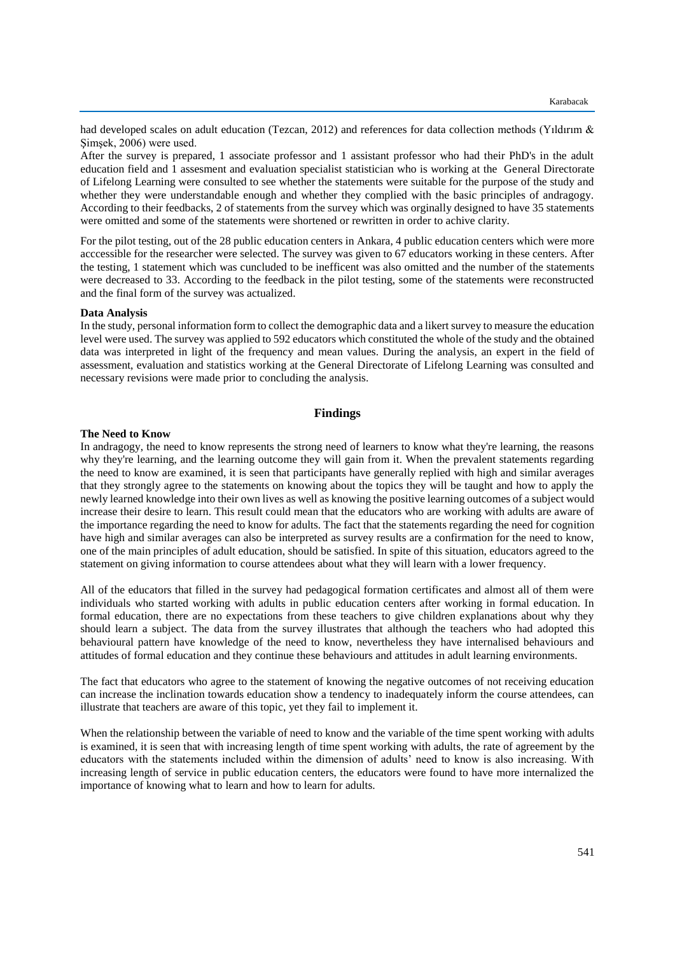had developed scales on adult education (Tezcan, 2012) and references for data collection methods (Yıldırım & Şimşek, 2006) were used.

After the survey is prepared, 1 associate professor and 1 assistant professor who had their PhD's in the adult education field and 1 assesment and evaluation specialist statistician who is working at the General Directorate of Lifelong Learning were consulted to see whether the statements were suitable for the purpose of the study and whether they were understandable enough and whether they complied with the basic principles of andragogy. According to their feedbacks, 2 of statements from the survey which was orginally designed to have 35 statements were omitted and some of the statements were shortened or rewritten in order to achive clarity.

For the pilot testing, out of the 28 public education centers in Ankara, 4 public education centers which were more acccessible for the researcher were selected. The survey was given to 67 educators working in these centers. After the testing, 1 statement which was cuncluded to be inefficent was also omitted and the number of the statements were decreased to 33. According to the feedback in the pilot testing, some of the statements were reconstructed and the final form of the survey was actualized.

#### **Data Analysis**

In the study, personal information form to collect the demographic data and a likert survey to measure the education level were used. The survey was applied to 592 educators which constituted the whole of the study and the obtained data was interpreted in light of the frequency and mean values. During the analysis, an expert in the field of assessment, evaluation and statistics working at the General Directorate of Lifelong Learning was consulted and necessary revisions were made prior to concluding the analysis.

### **Findings**

### **The Need to Know**

In andragogy, the need to know represents the strong need of learners to know what they're learning, the reasons why they're learning, and the learning outcome they will gain from it. When the prevalent statements regarding the need to know are examined, it is seen that participants have generally replied with high and similar averages that they strongly agree to the statements on knowing about the topics they will be taught and how to apply the newly learned knowledge into their own lives as well as knowing the positive learning outcomes of a subject would increase their desire to learn. This result could mean that the educators who are working with adults are aware of the importance regarding the need to know for adults. The fact that the statements regarding the need for cognition have high and similar averages can also be interpreted as survey results are a confirmation for the need to know, one of the main principles of adult education, should be satisfied. In spite of this situation, educators agreed to the statement on giving information to course attendees about what they will learn with a lower frequency.

All of the educators that filled in the survey had pedagogical formation certificates and almost all of them were individuals who started working with adults in public education centers after working in formal education. In formal education, there are no expectations from these teachers to give children explanations about why they should learn a subject. The data from the survey illustrates that although the teachers who had adopted this behavioural pattern have knowledge of the need to know, nevertheless they have internalised behaviours and attitudes of formal education and they continue these behaviours and attitudes in adult learning environments.

The fact that educators who agree to the statement of knowing the negative outcomes of not receiving education can increase the inclination towards education show a tendency to inadequately inform the course attendees, can illustrate that teachers are aware of this topic, yet they fail to implement it.

When the relationship between the variable of need to know and the variable of the time spent working with adults is examined, it is seen that with increasing length of time spent working with adults, the rate of agreement by the educators with the statements included within the dimension of adults' need to know is also increasing. With increasing length of service in public education centers, the educators were found to have more internalized the importance of knowing what to learn and how to learn for adults.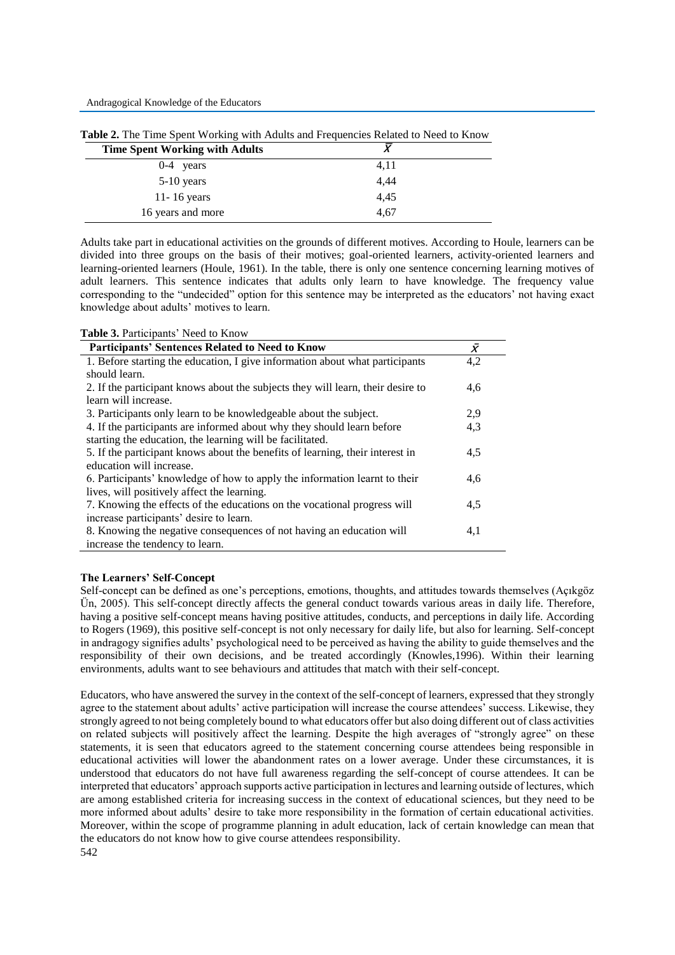| <b>Time Spent Working with Adults</b> |      |  |
|---------------------------------------|------|--|
| $0-4$ years                           | 4,11 |  |
| $5-10$ years                          | 4,44 |  |
| 11-16 years                           | 4,45 |  |
| 16 years and more                     | 4,67 |  |

**Table 2.** The Time Spent Working with Adults and Frequencies Related to Need to Know

Adults take part in educational activities on the grounds of different motives. According to Houle, learners can be divided into three groups on the basis of their motives; goal-oriented learners, activity-oriented learners and learning-oriented learners (Houle, 1961). In the table, there is only one sentence concerning learning motives of adult learners. This sentence indicates that adults only learn to have knowledge. The frequency value corresponding to the "undecided" option for this sentence may be interpreted as the educators' not having exact knowledge about adults' motives to learn.

| Table 3. Participants' Need to Know |  |
|-------------------------------------|--|
|-------------------------------------|--|

| <b>Participants' Sentences Related to Need to Know</b>                          | $\bar{X}$ |
|---------------------------------------------------------------------------------|-----------|
| 1. Before starting the education, I give information about what participants    | 4,2       |
| should learn.                                                                   |           |
| 2. If the participant knows about the subjects they will learn, their desire to | 4,6       |
| learn will increase.                                                            |           |
| 3. Participants only learn to be knowledgeable about the subject.               | 2.9       |
| 4. If the participants are informed about why they should learn before          | 4,3       |
| starting the education, the learning will be facilitated.                       |           |
| 5. If the participant knows about the benefits of learning, their interest in   | 4,5       |
| education will increase.                                                        |           |
| 6. Participants' knowledge of how to apply the information learnt to their      | 4,6       |
| lives, will positively affect the learning.                                     |           |
| 7. Knowing the effects of the educations on the vocational progress will        | 4,5       |
| increase participants' desire to learn.                                         |           |
| 8. Knowing the negative consequences of not having an education will            | 4,1       |
| increase the tendency to learn.                                                 |           |

## **The Learners' Self-Concept**

Self-concept can be defined as one's perceptions, emotions, thoughts, and attitudes towards themselves (Açıkgöz Ün, 2005). This self-concept directly affects the general conduct towards various areas in daily life. Therefore, having a positive self-concept means having positive attitudes, conducts, and perceptions in daily life. According to Rogers (1969), this positive self-concept is not only necessary for daily life, but also for learning. Self-concept in andragogy signifies adults' psychological need to be perceived as having the ability to guide themselves and the responsibility of their own decisions, and be treated accordingly (Knowles,1996). Within their learning environments, adults want to see behaviours and attitudes that match with their self-concept.

542 Educators, who have answered the survey in the context of the self-concept of learners, expressed that they strongly agree to the statement about adults' active participation will increase the course attendees' success. Likewise, they strongly agreed to not being completely bound to what educators offer but also doing different out of class activities on related subjects will positively affect the learning. Despite the high averages of "strongly agree" on these statements, it is seen that educators agreed to the statement concerning course attendees being responsible in educational activities will lower the abandonment rates on a lower average. Under these circumstances, it is understood that educators do not have full awareness regarding the self-concept of course attendees. It can be interpreted that educators' approach supports active participation in lectures and learning outside of lectures, which are among established criteria for increasing success in the context of educational sciences, but they need to be more informed about adults' desire to take more responsibility in the formation of certain educational activities. Moreover, within the scope of programme planning in adult education, lack of certain knowledge can mean that the educators do not know how to give course attendees responsibility.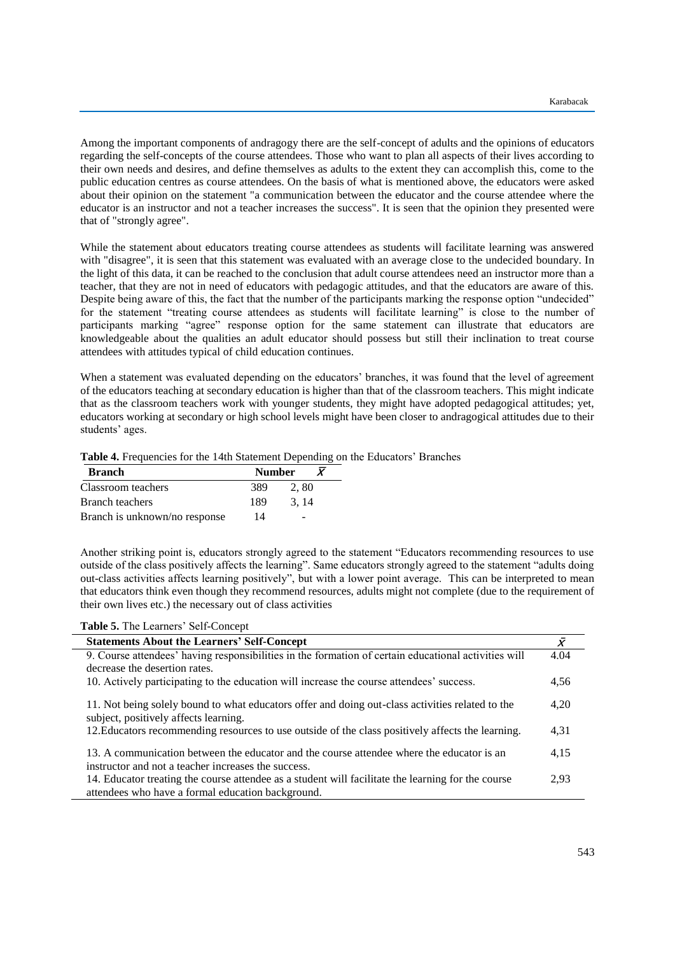Among the important components of andragogy there are the self-concept of adults and the opinions of educators regarding the self-concepts of the course attendees. Those who want to plan all aspects of their lives according to their own needs and desires, and define themselves as adults to the extent they can accomplish this, come to the public education centres as course attendees. On the basis of what is mentioned above, the educators were asked about their opinion on the statement "a communication between the educator and the course attendee where the educator is an instructor and not a teacher increases the success". It is seen that the opinion they presented were that of "strongly agree".

While the statement about educators treating course attendees as students will facilitate learning was answered with "disagree", it is seen that this statement was evaluated with an average close to the undecided boundary. In the light of this data, it can be reached to the conclusion that adult course attendees need an instructor more than a teacher, that they are not in need of educators with pedagogic attitudes, and that the educators are aware of this. Despite being aware of this, the fact that the number of the participants marking the response option "undecided" for the statement "treating course attendees as students will facilitate learning" is close to the number of participants marking "agree" response option for the same statement can illustrate that educators are knowledgeable about the qualities an adult educator should possess but still their inclination to treat course attendees with attitudes typical of child education continues.

When a statement was evaluated depending on the educators' branches, it was found that the level of agreement of the educators teaching at secondary education is higher than that of the classroom teachers. This might indicate that as the classroom teachers work with younger students, they might have adopted pedagogical attitudes; yet, educators working at secondary or high school levels might have been closer to andragogical attitudes due to their students' ages.

| Table 4. Frequencies for the 14th Statement Depending on the Educators' Branches |  |  |
|----------------------------------------------------------------------------------|--|--|
|----------------------------------------------------------------------------------|--|--|

| <b>Branch</b>                 | <b>Number</b> |                          |
|-------------------------------|---------------|--------------------------|
| Classroom teachers            | 389           | 2.80                     |
| Branch teachers               | 189           | 3.14                     |
| Branch is unknown/no response | 14            | $\overline{\phantom{a}}$ |

Another striking point is, educators strongly agreed to the statement "Educators recommending resources to use outside of the class positively affects the learning". Same educators strongly agreed to the statement "adults doing out-class activities affects learning positively", but with a lower point average. This can be interpreted to mean that educators think even though they recommend resources, adults might not complete (due to the requirement of their own lives etc.) the necessary out of class activities

**Table 5.** The Learners' Self-Concept

| <b>Statements About the Learners' Self-Concept</b>                                                                                               | $\bar{X}$ |
|--------------------------------------------------------------------------------------------------------------------------------------------------|-----------|
| 9. Course attendees' having responsibilities in the formation of certain educational activities will                                             | 4.04      |
| decrease the desertion rates.                                                                                                                    |           |
| 10. Actively participating to the education will increase the course attendees' success.                                                         | 4,56      |
| 11. Not being solely bound to what educators offer and doing out-class activities related to the<br>subject, positively affects learning.        | 4,20      |
| 12. Educators recommending resources to use outside of the class positively affects the learning.                                                | 4,31      |
| 13. A communication between the educator and the course attendee where the educator is an<br>instructor and not a teacher increases the success. | 4,15      |
| 14. Educator treating the course attendee as a student will facilitate the learning for the course                                               | 2.93      |
| attendees who have a formal education background.                                                                                                |           |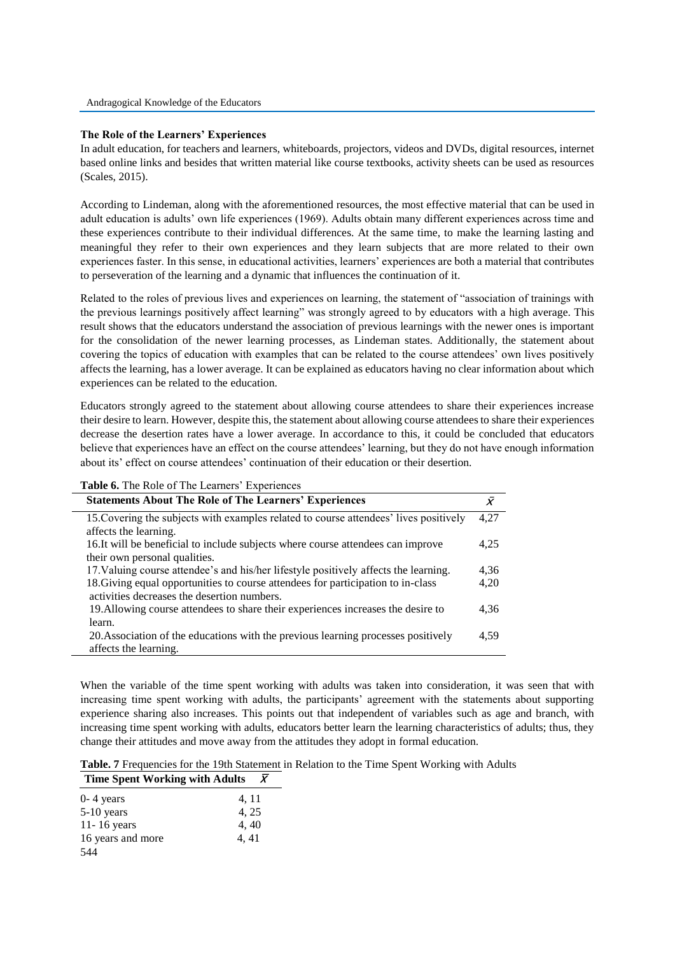### **The Role of the Learners' Experiences**

In adult education, for teachers and learners, whiteboards, projectors, videos and DVDs, digital resources, internet based online links and besides that written material like course textbooks, activity sheets can be used as resources (Scales, 2015).

According to Lindeman, along with the aforementioned resources, the most effective material that can be used in adult education is adults' own life experiences (1969). Adults obtain many different experiences across time and these experiences contribute to their individual differences. At the same time, to make the learning lasting and meaningful they refer to their own experiences and they learn subjects that are more related to their own experiences faster. In this sense, in educational activities, learners' experiences are both a material that contributes to perseveration of the learning and a dynamic that influences the continuation of it.

Related to the roles of previous lives and experiences on learning, the statement of "association of trainings with the previous learnings positively affect learning" was strongly agreed to by educators with a high average. This result shows that the educators understand the association of previous learnings with the newer ones is important for the consolidation of the newer learning processes, as Lindeman states. Additionally, the statement about covering the topics of education with examples that can be related to the course attendees' own lives positively affects the learning, has a lower average. It can be explained as educators having no clear information about which experiences can be related to the education.

Educators strongly agreed to the statement about allowing course attendees to share their experiences increase their desire to learn. However, despite this, the statement about allowing course attendees to share their experiences decrease the desertion rates have a lower average. In accordance to this, it could be concluded that educators believe that experiences have an effect on the course attendees' learning, but they do not have enough information about its' effect on course attendees' continuation of their education or their desertion.

**Table 6.** The Role of The Learners' Experiences

| <b>Statements About The Role of The Learners' Experiences</b>                         | $\bar{X}$ |
|---------------------------------------------------------------------------------------|-----------|
| 15. Covering the subjects with examples related to course attendees' lives positively | 4.27      |
| affects the learning.                                                                 |           |
| 16. It will be beneficial to include subjects where course attendees can improve      | 4,25      |
| their own personal qualities.                                                         |           |
| 17. Valuing course attendee's and his/her lifestyle positively affects the learning.  | 4,36      |
| 18. Giving equal opportunities to course attendees for participation to in-class      | 4,20      |
| activities decreases the desertion numbers.                                           |           |
| 19. Allowing course attendees to share their experiences increases the desire to      | 4,36      |
| learn.                                                                                |           |
| 20. Association of the educations with the previous learning processes positively     | 4.59      |
| affects the learning.                                                                 |           |

When the variable of the time spent working with adults was taken into consideration, it was seen that with increasing time spent working with adults, the participants' agreement with the statements about supporting experience sharing also increases. This points out that independent of variables such as age and branch, with increasing time spent working with adults, educators better learn the learning characteristics of adults; thus, they change their attitudes and move away from the attitudes they adopt in formal education.

**Table. 7** Frequencies for the 19th Statement in Relation to the Time Spent Working with Adults **Time Spent Working with Adults**  $\bar{X}$ 

| $0 - 4$ years     | 4, 11 |
|-------------------|-------|
| $5-10$ years      | 4, 25 |
| 11-16 years       | 4,40  |
| 16 years and more | 4, 41 |
| 544               |       |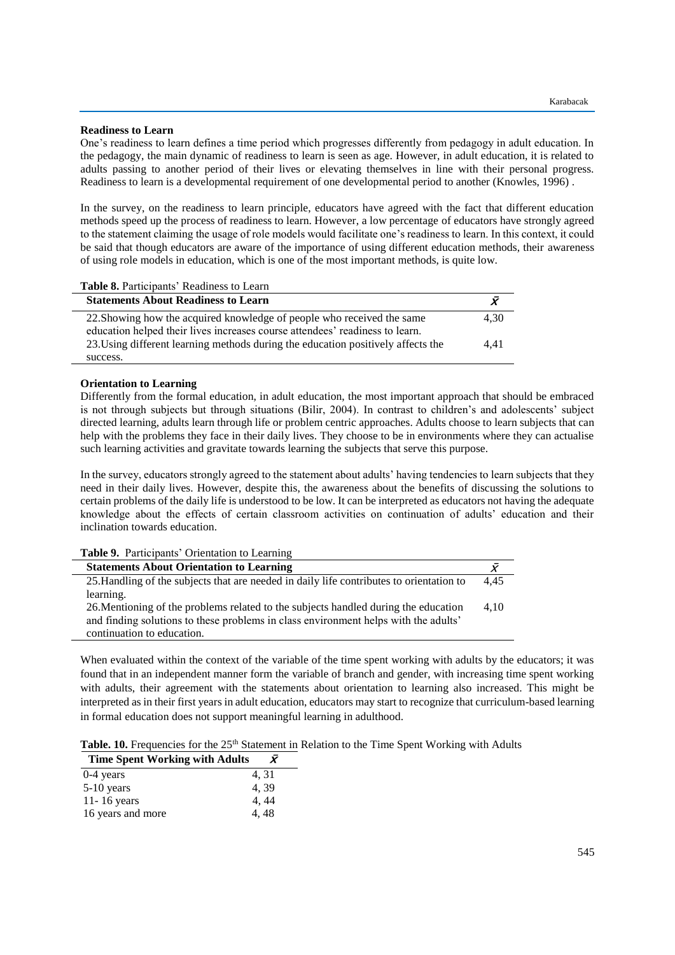### **Readiness to Learn**

One's readiness to learn defines a time period which progresses differently from pedagogy in adult education. In the pedagogy, the main dynamic of readiness to learn is seen as age. However, in adult education, it is related to adults passing to another period of their lives or elevating themselves in line with their personal progress. Readiness to learn is a developmental requirement of one developmental period to another (Knowles, 1996) .

In the survey, on the readiness to learn principle, educators have agreed with the fact that different education methods speed up the process of readiness to learn. However, a low percentage of educators have strongly agreed to the statement claiming the usage of role models would facilitate one's readiness to learn. In this context, it could be said that though educators are aware of the importance of using different education methods, their awareness of using role models in education, which is one of the most important methods, is quite low.

| Table 8. Participants' Readiness to Learn                                        |      |
|----------------------------------------------------------------------------------|------|
| <b>Statements About Readiness to Learn</b>                                       |      |
| 22. Showing how the acquired knowledge of people who received the same           | 4.30 |
| education helped their lives increases course attendees' readiness to learn.     |      |
| 23. Using different learning methods during the education positively affects the | 4.41 |
| success.                                                                         |      |

## **Orientation to Learning**

Differently from the formal education, in adult education, the most important approach that should be embraced is not through subjects but through situations (Bilir, 2004). In contrast to children's and adolescents' subject directed learning, adults learn through life or problem centric approaches. Adults choose to learn subjects that can help with the problems they face in their daily lives. They choose to be in environments where they can actualise such learning activities and gravitate towards learning the subjects that serve this purpose.

In the survey, educators strongly agreed to the statement about adults' having tendencies to learn subjects that they need in their daily lives. However, despite this, the awareness about the benefits of discussing the solutions to certain problems of the daily life is understood to be low. It can be interpreted as educators not having the adequate knowledge about the effects of certain classroom activities on continuation of adults' education and their inclination towards education.

| <b>Table 9.</b> Participants' Orientation to Learning                                    |      |
|------------------------------------------------------------------------------------------|------|
| <b>Statements About Orientation to Learning</b>                                          |      |
| 25. Handling of the subjects that are needed in daily life contributes to orientation to | 4.45 |
| learning.                                                                                |      |
| 26. Mentioning of the problems related to the subjects handled during the education      | 4.10 |
| and finding solutions to these problems in class environment helps with the adults'      |      |
| continuation to education.                                                               |      |
|                                                                                          |      |

When evaluated within the context of the variable of the time spent working with adults by the educators; it was found that in an independent manner form the variable of branch and gender, with increasing time spent working with adults, their agreement with the statements about orientation to learning also increased. This might be interpreted as in their first years in adult education, educators may start to recognize that curriculum-based learning in formal education does not support meaningful learning in adulthood.

Table. 10. Frequencies for the 25<sup>th</sup> Statement in Relation to the Time Spent Working with Adults

| <b>Time Spent Working with Adults</b> |       |
|---------------------------------------|-------|
| $0-4$ years                           | 4, 31 |
| $5-10$ years                          | 4.39  |
| 11-16 years                           | 4, 44 |
| 16 years and more                     | 4.48  |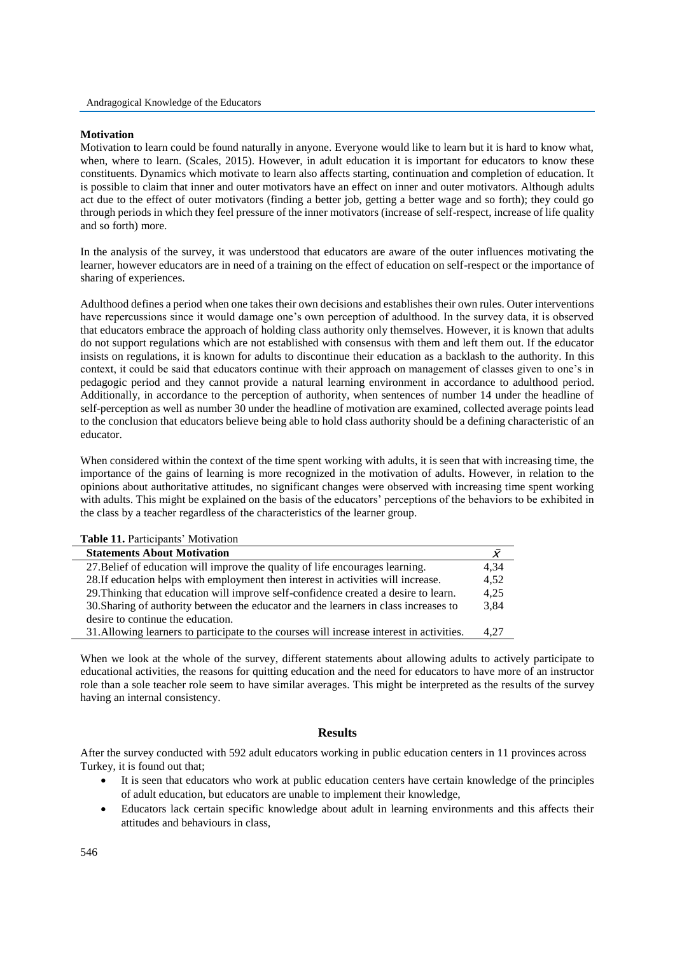### **Motivation**

Motivation to learn could be found naturally in anyone. Everyone would like to learn but it is hard to know what, when, where to learn. (Scales, 2015). However, in adult education it is important for educators to know these constituents. Dynamics which motivate to learn also affects starting, continuation and completion of education. It is possible to claim that inner and outer motivators have an effect on inner and outer motivators. Although adults act due to the effect of outer motivators (finding a better job, getting a better wage and so forth); they could go through periods in which they feel pressure of the inner motivators (increase of self-respect, increase of life quality and so forth) more.

In the analysis of the survey, it was understood that educators are aware of the outer influences motivating the learner, however educators are in need of a training on the effect of education on self-respect or the importance of sharing of experiences.

Adulthood defines a period when one takes their own decisions and establishes their own rules. Outer interventions have repercussions since it would damage one's own perception of adulthood. In the survey data, it is observed that educators embrace the approach of holding class authority only themselves. However, it is known that adults do not support regulations which are not established with consensus with them and left them out. If the educator insists on regulations, it is known for adults to discontinue their education as a backlash to the authority. In this context, it could be said that educators continue with their approach on management of classes given to one's in pedagogic period and they cannot provide a natural learning environment in accordance to adulthood period. Additionally, in accordance to the perception of authority, when sentences of number 14 under the headline of self-perception as well as number 30 under the headline of motivation are examined, collected average points lead to the conclusion that educators believe being able to hold class authority should be a defining characteristic of an educator.

When considered within the context of the time spent working with adults, it is seen that with increasing time, the importance of the gains of learning is more recognized in the motivation of adults. However, in relation to the opinions about authoritative attitudes, no significant changes were observed with increasing time spent working with adults. This might be explained on the basis of the educators' perceptions of the behaviors to be exhibited in the class by a teacher regardless of the characteristics of the learner group.

| <b>Table 11.</b> Participants' Motivation                                                 |      |
|-------------------------------------------------------------------------------------------|------|
| <b>Statements About Motivation</b>                                                        |      |
| 27. Belief of education will improve the quality of life encourages learning.             | 4,34 |
| 28. If education helps with employment then interest in activities will increase.         | 4,52 |
| 29. Thinking that education will improve self-confidence created a desire to learn.       | 4,25 |
| 30. Sharing of authority between the educator and the learners in class increases to      | 3.84 |
| desire to continue the education.                                                         |      |
| 31. Allowing learners to participate to the courses will increase interest in activities. | 4.27 |
|                                                                                           |      |

When we look at the whole of the survey, different statements about allowing adults to actively participate to educational activities, the reasons for quitting education and the need for educators to have more of an instructor role than a sole teacher role seem to have similar averages. This might be interpreted as the results of the survey having an internal consistency.

# **Results**

After the survey conducted with 592 adult educators working in public education centers in 11 provinces across Turkey, it is found out that;

- It is seen that educators who work at public education centers have certain knowledge of the principles of adult education, but educators are unable to implement their knowledge,
- Educators lack certain specific knowledge about adult in learning environments and this affects their attitudes and behaviours in class,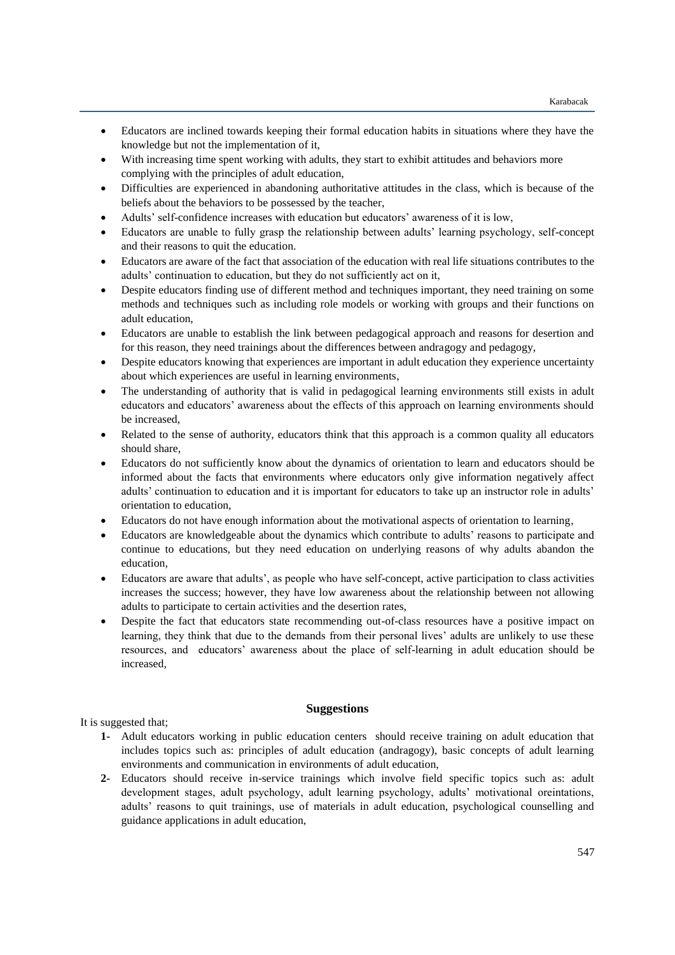- Educators are inclined towards keeping their formal education habits in situations where they have the knowledge but not the implementation of it,
- With increasing time spent working with adults, they start to exhibit attitudes and behaviors more complying with the principles of adult education,
- Difficulties are experienced in abandoning authoritative attitudes in the class, which is because of the beliefs about the behaviors to be possessed by the teacher,
- Adults' self-confidence increases with education but educators' awareness of it is low,
- Educators are unable to fully grasp the relationship between adults' learning psychology, self-concept and their reasons to quit the education.
- Educators are aware of the fact that association of the education with real life situations contributes to the adults' continuation to education, but they do not sufficiently act on it,
- Despite educators finding use of different method and techniques important, they need training on some methods and techniques such as including role models or working with groups and their functions on adult education,
- Educators are unable to establish the link between pedagogical approach and reasons for desertion and for this reason, they need trainings about the differences between andragogy and pedagogy,
- Despite educators knowing that experiences are important in adult education they experience uncertainty about which experiences are useful in learning environments,
- The understanding of authority that is valid in pedagogical learning environments still exists in adult educators and educators' awareness about the effects of this approach on learning environments should be increased,
- Related to the sense of authority, educators think that this approach is a common quality all educators should share,
- Educators do not sufficiently know about the dynamics of orientation to learn and educators should be informed about the facts that environments where educators only give information negatively affect adults' continuation to education and it is important for educators to take up an instructor role in adults' orientation to education,
- Educators do not have enough information about the motivational aspects of orientation to learning,
- Educators are knowledgeable about the dynamics which contribute to adults' reasons to participate and continue to educations, but they need education on underlying reasons of why adults abandon the education,
- Educators are aware that adults', as people who have self-concept, active participation to class activities increases the success; however, they have low awareness about the relationship between not allowing adults to participate to certain activities and the desertion rates,
- Despite the fact that educators state recommending out-of-class resources have a positive impact on learning, they think that due to the demands from their personal lives' adults are unlikely to use these resources, and educators' awareness about the place of self-learning in adult education should be increased,

## **Suggestions**

It is suggested that;

- **1-** Adult educators working in public education centers should receive training on adult education that includes topics such as: principles of adult education (andragogy), basic concepts of adult learning environments and communication in environments of adult education,
- **2-** Educators should receive in-service trainings which involve field specific topics such as: adult development stages, adult psychology, adult learning psychology, adults' motivational oreintations, adults' reasons to quit trainings, use of materials in adult education, psychological counselling and guidance applications in adult education,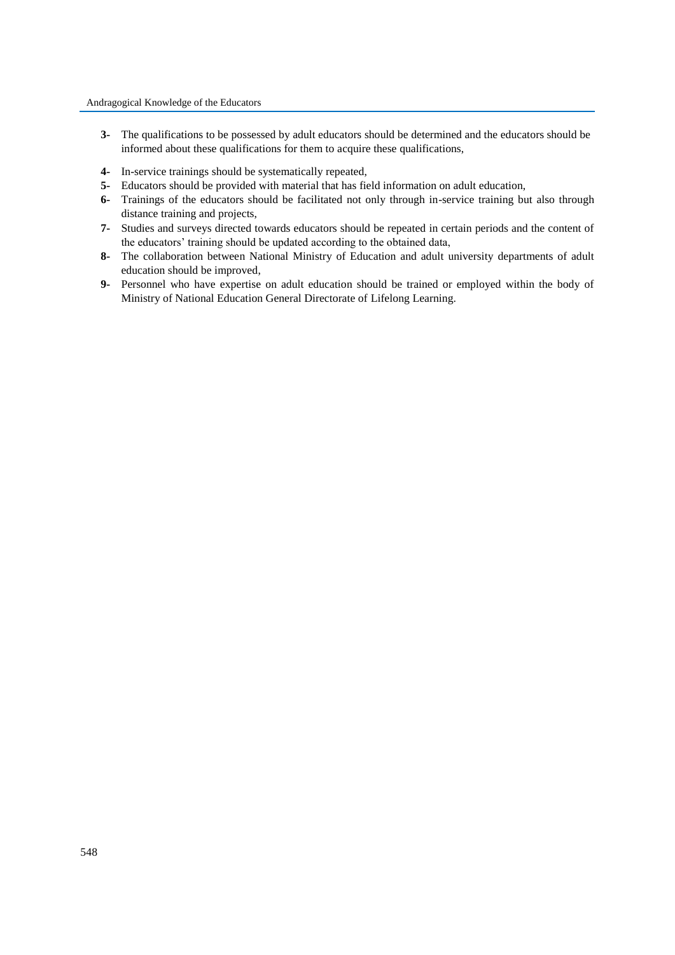- **3-** The qualifications to be possessed by adult educators should be determined and the educators should be informed about these qualifications for them to acquire these qualifications,
- **4-** In-service trainings should be systematically repeated,
- **5-** Educators should be provided with material that has field information on adult education,
- **6-** Trainings of the educators should be facilitated not only through in-service training but also through distance training and projects,
- **7-** Studies and surveys directed towards educators should be repeated in certain periods and the content of the educators' training should be updated according to the obtained data,
- **8-** The collaboration between National Ministry of Education and adult university departments of adult education should be improved,
- **9-** Personnel who have expertise on adult education should be trained or employed within the body of Ministry of National Education General Directorate of Lifelong Learning.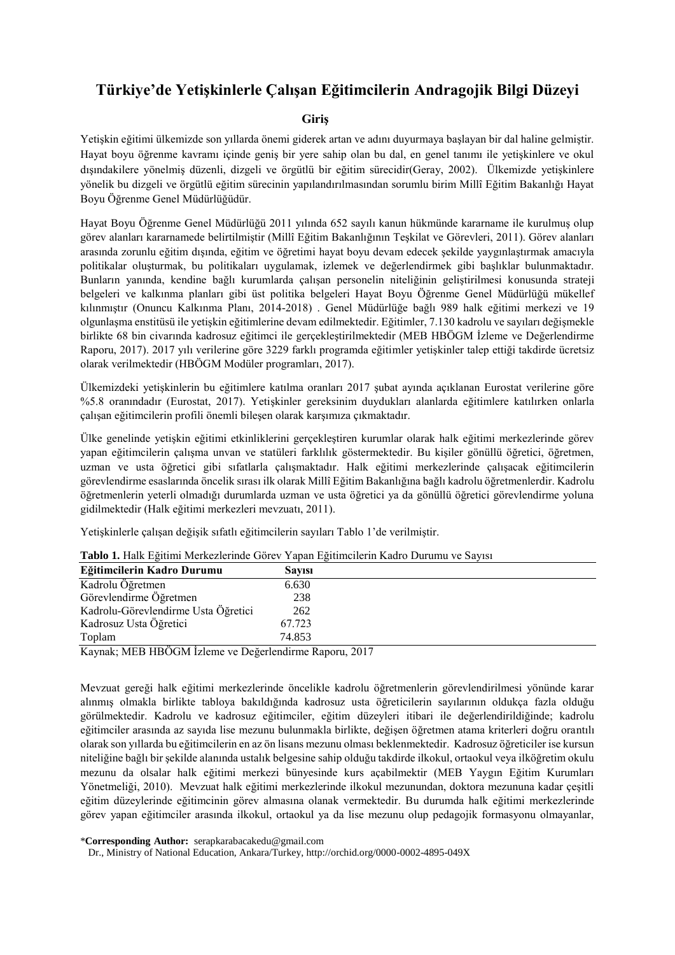# **Türkiye'de Yetişkinlerle Çalışan Eğitimcilerin Andragojik Bilgi Düzeyi**

# **Giriş**

Yetişkin eğitimi ülkemizde son yıllarda önemi giderek artan ve adını duyurmaya başlayan bir dal haline gelmiştir. Hayat boyu öğrenme kavramı içinde geniş bir yere sahip olan bu dal, en genel tanımı ile yetişkinlere ve okul dışındakilere yönelmiş düzenli, dizgeli ve örgütlü bir eğitim sürecidir(Geray, 2002). Ülkemizde yetişkinlere yönelik bu dizgeli ve örgütlü eğitim sürecinin yapılandırılmasından sorumlu birim Millî Eğitim Bakanlığı Hayat Boyu Öğrenme Genel Müdürlüğüdür.

Hayat Boyu Öğrenme Genel Müdürlüğü 2011 yılında 652 sayılı kanun hükmünde kararname ile kurulmuş olup görev alanları kararnamede belirtilmiştir (Millî Eğitim Bakanlığının Teşkilat ve Görevleri, 2011). Görev alanları arasında zorunlu eğitim dışında, eğitim ve öğretimi hayat boyu devam edecek şekilde yaygınlaştırmak amacıyla politikalar oluşturmak, bu politikaları uygulamak, izlemek ve değerlendirmek gibi başlıklar bulunmaktadır. Bunların yanında, kendine bağlı kurumlarda çalışan personelin niteliğinin geliştirilmesi konusunda strateji belgeleri ve kalkınma planları gibi üst politika belgeleri Hayat Boyu Öğrenme Genel Müdürlüğü mükellef kılınmıştır (Onuncu Kalkınma Planı, 2014-2018) . Genel Müdürlüğe bağlı 989 halk eğitimi merkezi ve 19 olgunlaşma enstitüsü ile yetişkin eğitimlerine devam edilmektedir. Eğitimler, 7.130 kadrolu ve sayıları değişmekle birlikte 68 bin civarında kadrosuz eğitimci ile gerçekleştirilmektedir (MEB HBÖGM İzleme ve Değerlendirme Raporu, 2017). 2017 yılı verilerine göre 3229 farklı programda eğitimler yetişkinler talep ettiği takdirde ücretsiz olarak verilmektedir (HBÖGM Modüler programları, 2017).

Ülkemizdeki yetişkinlerin bu eğitimlere katılma oranları 2017 şubat ayında açıklanan Eurostat verilerine göre %5.8 oranındadır (Eurostat, 2017). Yetişkinler gereksinim duydukları alanlarda eğitimlere katılırken onlarla çalışan eğitimcilerin profili önemli bileşen olarak karşımıza çıkmaktadır.

Ülke genelinde yetişkin eğitimi etkinliklerini gerçekleştiren kurumlar olarak halk eğitimi merkezlerinde görev yapan eğitimcilerin çalışma unvan ve statüleri farklılık göstermektedir. Bu kişiler gönüllü öğretici, öğretmen, uzman ve usta öğretici gibi sıfatlarla çalışmaktadır. Halk eğitimi merkezlerinde çalışacak eğitimcilerin görevlendirme esaslarında öncelik sırası ilk olarak Millî Eğitim Bakanlığına bağlı kadrolu öğretmenlerdir. Kadrolu öğretmenlerin yeterli olmadığı durumlarda uzman ve usta öğretici ya da gönüllü öğretici görevlendirme yoluna gidilmektedir (Halk eğitimi merkezleri mevzuatı, 2011).

Yetişkinlerle çalışan değişik sıfatlı eğitimcilerin sayıları Tablo 1'de verilmiştir.

|                                                        | <b>Table 1.</b> Hain Egitim McKelchilde Golev Tapan Egitimenenin Kadio Durumu ve bayısı |
|--------------------------------------------------------|-----------------------------------------------------------------------------------------|
| Eğitimcilerin Kadro Durumu                             | <b>Savisi</b>                                                                           |
| Kadrolu Öğretmen                                       | 6.630                                                                                   |
| Görevlendirme Öğretmen                                 | 238                                                                                     |
| Kadrolu-Görevlendirme Usta Öğretici                    | 262                                                                                     |
| Kadrosuz Usta Öğretici                                 | 67.723                                                                                  |
| Toplam                                                 | 74.853                                                                                  |
| Kaynak: MEB HBÖGM İzlama ve Dağarlandirma Banarı, 2017 |                                                                                         |

|  | Tablo 1. Halk Eğitimi Merkezlerinde Görev Yapan Eğitimcilerin Kadro Durumu ve Sayısı |  |  |  |
|--|--------------------------------------------------------------------------------------|--|--|--|
|  |                                                                                      |  |  |  |

Kaynak; MEB HBÖGM İzleme ve Değerlendirme Raporu, 2017

Mevzuat gereği halk eğitimi merkezlerinde öncelikle kadrolu öğretmenlerin görevlendirilmesi yönünde karar alınmış olmakla birlikte tabloya bakıldığında kadrosuz usta öğreticilerin sayılarının oldukça fazla olduğu görülmektedir. Kadrolu ve kadrosuz eğitimciler, eğitim düzeyleri itibari ile değerlendirildiğinde; kadrolu eğitimciler arasında az sayıda lise mezunu bulunmakla birlikte, değişen öğretmen atama kriterleri doğru orantılı olarak son yıllarda bu eğitimcilerin en az ön lisans mezunu olması beklenmektedir. Kadrosuz öğreticiler ise kursun niteliğine bağlı bir şekilde alanında ustalık belgesine sahip olduğu takdirde ilkokul, ortaokul veya ilköğretim okulu mezunu da olsalar halk eğitimi merkezi bünyesinde kurs açabilmektir (MEB Yaygın Eğitim Kurumları Yönetmeliği, 2010). Mevzuat halk eğitimi merkezlerinde ilkokul mezunundan, doktora mezununa kadar çeşitli eğitim düzeylerinde eğitimcinin görev almasına olanak vermektedir. Bu durumda halk eğitimi merkezlerinde görev yapan eğitimciler arasında ilkokul, ortaokul ya da lise mezunu olup pedagojik formasyonu olmayanlar,

\***Corresponding Author:** serapkarabacakedu@gmail.com

Dr., Ministry of National Education, Ankara/Turkey, http://orchid.org/0000-0002-4895-049X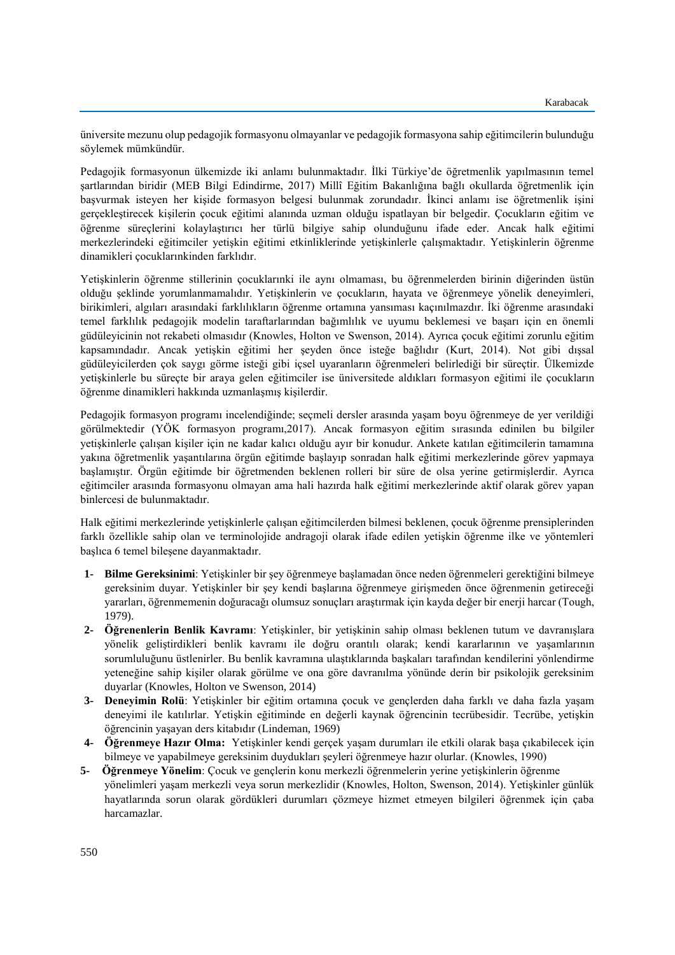üniversite mezunu olup pedagojik formasyonu olmayanlar ve pedagojik formasyona sahip eğitimcilerin bulunduğu söylemek mümkündür.

Pedagojik formasyonun ülkemizde iki anlamı bulunmaktadır. İlki Türkiye'de öğretmenlik yapılmasının temel şartlarından biridir (MEB Bilgi Edindirme, 2017) Millî Eğitim Bakanlığına bağlı okullarda öğretmenlik için başvurmak isteyen her kişide formasyon belgesi bulunmak zorundadır. İkinci anlamı ise öğretmenlik işini gerçekleştirecek kişilerin çocuk eğitimi alanında uzman olduğu ispatlayan bir belgedir. Çocukların eğitim ve öğrenme süreçlerini kolaylaştırıcı her türlü bilgiye sahip olunduğunu ifade eder. Ancak halk eğitimi merkezlerindeki eğitimciler yetişkin eğitimi etkinliklerinde yetişkinlerle çalışmaktadır. Yetişkinlerin öğrenme dinamikleri çocuklarınkinden farklıdır.

Yetişkinlerin öğrenme stillerinin çocuklarınki ile aynı olmaması, bu öğrenmelerden birinin diğerinden üstün olduğu şeklinde yorumlanmamalıdır. Yetişkinlerin ve çocukların, hayata ve öğrenmeye yönelik deneyimleri, birikimleri, algıları arasındaki farklılıkların öğrenme ortamına yansıması kaçınılmazdır. İki öğrenme arasındaki temel farklılık pedagojik modelin taraftarlarından bağımlılık ve uyumu beklemesi ve başarı için en önemli güdüleyicinin not rekabeti olmasıdır (Knowles, Holton ve Swenson, 2014). Ayrıca çocuk eğitimi zorunlu eğitim kapsamındadır. Ancak yetişkin eğitimi her şeyden önce isteğe bağlıdır (Kurt, 2014). Not gibi dışsal güdüleyicilerden çok saygı görme isteği gibi içsel uyaranların öğrenmeleri belirlediği bir süreçtir. Ülkemizde yetişkinlerle bu süreçte bir araya gelen eğitimciler ise üniversitede aldıkları formasyon eğitimi ile çocukların öğrenme dinamikleri hakkında uzmanlaşmış kişilerdir.

Pedagojik formasyon programı incelendiğinde; seçmeli dersler arasında yaşam boyu öğrenmeye de yer verildiği görülmektedir (YÖK formasyon programı,2017). Ancak formasyon eğitim sırasında edinilen bu bilgiler yetişkinlerle çalışan kişiler için ne kadar kalıcı olduğu ayır bir konudur. Ankete katılan eğitimcilerin tamamına yakına öğretmenlik yaşantılarına örgün eğitimde başlayıp sonradan halk eğitimi merkezlerinde görev yapmaya başlamıştır. Örgün eğitimde bir öğretmenden beklenen rolleri bir süre de olsa yerine getirmişlerdir. Ayrıca eğitimciler arasında formasyonu olmayan ama hali hazırda halk eğitimi merkezlerinde aktif olarak görev yapan binlercesi de bulunmaktadır.

Halk eğitimi merkezlerinde yetişkinlerle çalışan eğitimcilerden bilmesi beklenen, çocuk öğrenme prensiplerinden farklı özellikle sahip olan ve terminolojide andragoji olarak ifade edilen yetişkin öğrenme ilke ve yöntemleri başlıca 6 temel bileşene dayanmaktadır.

- **1- Bilme Gereksinimi**: Yetişkinler bir şey öğrenmeye başlamadan önce neden öğrenmeleri gerektiğini bilmeye gereksinim duyar. Yetişkinler bir şey kendi başlarına öğrenmeye girişmeden önce öğrenmenin getireceği yararları, öğrenmemenin doğuracağı olumsuz sonuçları araştırmak için kayda değer bir enerji harcar (Tough, 1979).
- **2- Öğrenenlerin Benlik Kavramı**: Yetişkinler, bir yetişkinin sahip olması beklenen tutum ve davranışlara yönelik geliştirdikleri benlik kavramı ile doğru orantılı olarak; kendi kararlarının ve yaşamlarının sorumluluğunu üstlenirler. Bu benlik kavramına ulaştıklarında başkaları tarafından kendilerini yönlendirme yeteneğine sahip kişiler olarak görülme ve ona göre davranılma yönünde derin bir psikolojik gereksinim duyarlar (Knowles, Holton ve Swenson, 2014)
- **3- Deneyimin Rolü**: Yetişkinler bir eğitim ortamına çocuk ve gençlerden daha farklı ve daha fazla yaşam deneyimi ile katılırlar. Yetişkin eğitiminde en değerli kaynak öğrencinin tecrübesidir. Tecrübe, yetişkin öğrencinin yaşayan ders kitabıdır (Lindeman, 1969)
- **4- Öğrenmeye Hazır Olma:** Yetişkinler kendi gerçek yaşam durumları ile etkili olarak başa çıkabilecek için bilmeye ve yapabilmeye gereksinim duydukları şeyleri öğrenmeye hazır olurlar. (Knowles, 1990)
- **5- Öğrenmeye Yönelim**: Çocuk ve gençlerin konu merkezli öğrenmelerin yerine yetişkinlerin öğrenme yönelimleri yaşam merkezli veya sorun merkezlidir (Knowles, Holton, Swenson, 2014). Yetişkinler günlük hayatlarında sorun olarak gördükleri durumları çözmeye hizmet etmeyen bilgileri öğrenmek için çaba harcamazlar.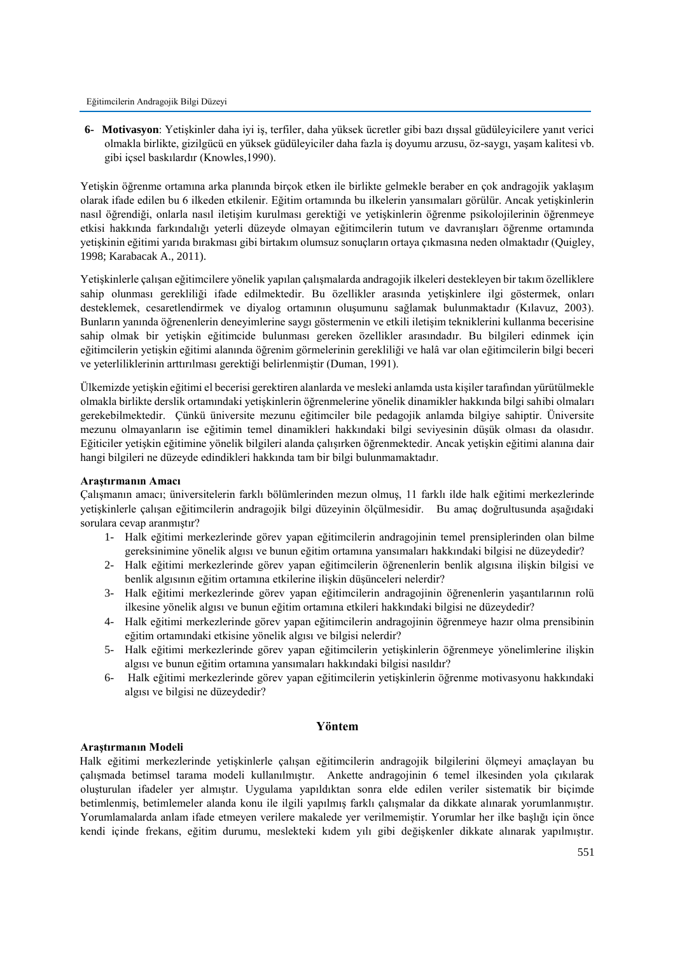**6- Motivasyon**: Yetişkinler daha iyi iş, terfiler, daha yüksek ücretler gibi bazı dışsal güdüleyicilere yanıt verici olmakla birlikte, gizilgücü en yüksek güdüleyiciler daha fazla iş doyumu arzusu, öz-saygı, yaşam kalitesi vb. gibi içsel baskılardır (Knowles,1990).

Yetişkin öğrenme ortamına arka planında birçok etken ile birlikte gelmekle beraber en çok andragojik yaklaşım olarak ifade edilen bu 6 ilkeden etkilenir. Eğitim ortamında bu ilkelerin yansımaları görülür. Ancak yetişkinlerin nasıl öğrendiği, onlarla nasıl iletişim kurulması gerektiği ve yetişkinlerin öğrenme psikolojilerinin öğrenmeye etkisi hakkında farkındalığı yeterli düzeyde olmayan eğitimcilerin tutum ve davranışları öğrenme ortamında yetişkinin eğitimi yarıda bırakması gibi birtakım olumsuz sonuçların ortaya çıkmasına neden olmaktadır (Quigley, 1998; Karabacak A., 2011).

Yetişkinlerle çalışan eğitimcilere yönelik yapılan çalışmalarda andragojik ilkeleri destekleyen bir takım özelliklere sahip olunması gerekliliği ifade edilmektedir. Bu özellikler arasında yetişkinlere ilgi göstermek, onları desteklemek, cesaretlendirmek ve diyalog ortamının oluşumunu sağlamak bulunmaktadır (Kılavuz, 2003). Bunların yanında öğrenenlerin deneyimlerine saygı göstermenin ve etkili iletişim tekniklerini kullanma becerisine sahip olmak bir yetişkin eğitimcide bulunması gereken özellikler arasındadır. Bu bilgileri edinmek için eğitimcilerin yetişkin eğitimi alanında öğrenim görmelerinin gerekliliği ve halâ var olan eğitimcilerin bilgi beceri ve yeterliliklerinin arttırılması gerektiği belirlenmiştir (Duman, 1991).

Ülkemizde yetişkin eğitimi el becerisi gerektiren alanlarda ve mesleki anlamda usta kişiler tarafından yürütülmekle olmakla birlikte derslik ortamındaki yetişkinlerin öğrenmelerine yönelik dinamikler hakkında bilgi sahibi olmaları gerekebilmektedir. Çünkü üniversite mezunu eğitimciler bile pedagojik anlamda bilgiye sahiptir. Üniversite mezunu olmayanların ise eğitimin temel dinamikleri hakkındaki bilgi seviyesinin düşük olması da olasıdır. Eğiticiler yetişkin eğitimine yönelik bilgileri alanda çalışırken öğrenmektedir. Ancak yetişkin eğitimi alanına dair hangi bilgileri ne düzeyde edindikleri hakkında tam bir bilgi bulunmamaktadır.

## **Araştırmanın Amacı**

Çalışmanın amacı; üniversitelerin farklı bölümlerinden mezun olmuş, 11 farklı ilde halk eğitimi merkezlerinde yetişkinlerle çalışan eğitimcilerin andragojik bilgi düzeyinin ölçülmesidir. Bu amaç doğrultusunda aşağıdaki sorulara cevap aranmıştır?

- 1- Halk eğitimi merkezlerinde görev yapan eğitimcilerin andragojinin temel prensiplerinden olan bilme gereksinimine yönelik algısı ve bunun eğitim ortamına yansımaları hakkındaki bilgisi ne düzeydedir?
- 2- Halk eğitimi merkezlerinde görev yapan eğitimcilerin öğrenenlerin benlik algısına ilişkin bilgisi ve benlik algısının eğitim ortamına etkilerine ilişkin düşünceleri nelerdir?
- 3- Halk eğitimi merkezlerinde görev yapan eğitimcilerin andragojinin öğrenenlerin yaşantılarının rolü ilkesine yönelik algısı ve bunun eğitim ortamına etkileri hakkındaki bilgisi ne düzeydedir?
- 4- Halk eğitimi merkezlerinde görev yapan eğitimcilerin andragojinin öğrenmeye hazır olma prensibinin eğitim ortamındaki etkisine yönelik algısı ve bilgisi nelerdir?
- 5- Halk eğitimi merkezlerinde görev yapan eğitimcilerin yetişkinlerin öğrenmeye yönelimlerine ilişkin algısı ve bunun eğitim ortamına yansımaları hakkındaki bilgisi nasıldır?
- 6- Halk eğitimi merkezlerinde görev yapan eğitimcilerin yetişkinlerin öğrenme motivasyonu hakkındaki algısı ve bilgisi ne düzeydedir?

# **Yöntem**

### **Araştırmanın Modeli**

Halk eğitimi merkezlerinde yetişkinlerle çalışan eğitimcilerin andragojik bilgilerini ölçmeyi amaçlayan bu çalışmada betimsel tarama modeli kullanılmıştır. Ankette andragojinin 6 temel ilkesinden yola çıkılarak oluşturulan ifadeler yer almıştır. Uygulama yapıldıktan sonra elde edilen veriler sistematik bir biçimde betimlenmiş, betimlemeler alanda konu ile ilgili yapılmış farklı çalışmalar da dikkate alınarak yorumlanmıştır. Yorumlamalarda anlam ifade etmeyen verilere makalede yer verilmemiştir. Yorumlar her ilke başlığı için önce kendi içinde frekans, eğitim durumu, meslekteki kıdem yılı gibi değişkenler dikkate alınarak yapılmıştır.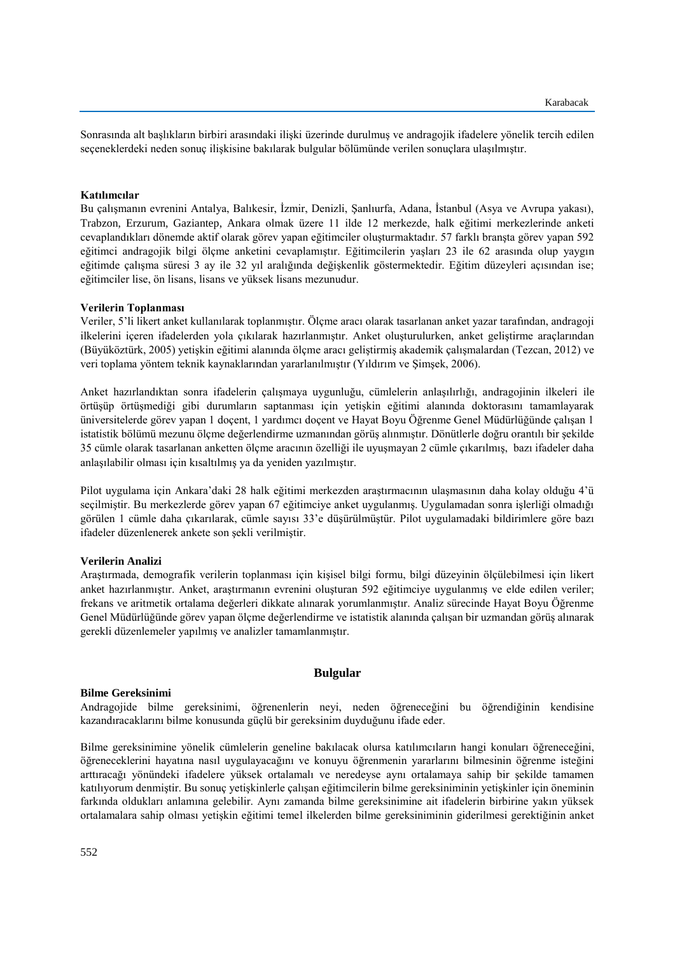Sonrasında alt başlıkların birbiri arasındaki ilişki üzerinde durulmuş ve andragojik ifadelere yönelik tercih edilen seçeneklerdeki neden sonuç ilişkisine bakılarak bulgular bölümünde verilen sonuçlara ulaşılmıştır.

# **Katılımcılar**

Bu çalışmanın evrenini Antalya, Balıkesir, İzmir, Denizli, Şanlıurfa, Adana, İstanbul (Asya ve Avrupa yakası), Trabzon, Erzurum, Gaziantep, Ankara olmak üzere 11 ilde 12 merkezde, halk eğitimi merkezlerinde anketi cevaplandıkları dönemde aktif olarak görev yapan eğitimciler oluşturmaktadır. 57 farklı branşta görev yapan 592 eğitimci andragojik bilgi ölçme anketini cevaplamıştır. Eğitimcilerin yaşları 23 ile 62 arasında olup yaygın eğitimde çalışma süresi 3 ay ile 32 yıl aralığında değişkenlik göstermektedir. Eğitim düzeyleri açısından ise; eğitimciler lise, ön lisans, lisans ve yüksek lisans mezunudur.

### **Verilerin Toplanması**

Veriler, 5'li likert anket kullanılarak toplanmıştır. Ölçme aracı olarak tasarlanan anket yazar tarafından, andragoji ilkelerini içeren ifadelerden yola çıkılarak hazırlanmıştır. Anket oluşturulurken, anket geliştirme araçlarından (Büyüköztürk, 2005) yetişkin eğitimi alanında ölçme aracı geliştirmiş akademik çalışmalardan (Tezcan, 2012) ve veri toplama yöntem teknik kaynaklarından yararlanılmıştır (Yıldırım ve Şimşek, 2006).

Anket hazırlandıktan sonra ifadelerin çalışmaya uygunluğu, cümlelerin anlaşılırlığı, andragojinin ilkeleri ile örtüşüp örtüşmediği gibi durumların saptanması için yetişkin eğitimi alanında doktorasını tamamlayarak üniversitelerde görev yapan 1 doçent, 1 yardımcı doçent ve Hayat Boyu Öğrenme Genel Müdürlüğünde çalışan 1 istatistik bölümü mezunu ölçme değerlendirme uzmanından görüş alınmıştır. Dönütlerle doğru orantılı bir şekilde 35 cümle olarak tasarlanan anketten ölçme aracının özelliği ile uyuşmayan 2 cümle çıkarılmış, bazı ifadeler daha anlaşılabilir olması için kısaltılmış ya da yeniden yazılmıştır.

Pilot uygulama için Ankara'daki 28 halk eğitimi merkezden araştırmacının ulaşmasının daha kolay olduğu 4'ü seçilmiştir. Bu merkezlerde görev yapan 67 eğitimciye anket uygulanmış. Uygulamadan sonra işlerliği olmadığı görülen 1 cümle daha çıkarılarak, cümle sayısı 33'e düşürülmüştür. Pilot uygulamadaki bildirimlere göre bazı ifadeler düzenlenerek ankete son şekli verilmiştir.

### **Verilerin Analizi**

Araştırmada, demografik verilerin toplanması için kişisel bilgi formu, bilgi düzeyinin ölçülebilmesi için likert anket hazırlanmıştır. Anket, araştırmanın evrenini oluşturan 592 eğitimciye uygulanmış ve elde edilen veriler; frekans ve aritmetik ortalama değerleri dikkate alınarak yorumlanmıştır. Analiz sürecinde Hayat Boyu Öğrenme Genel Müdürlüğünde görev yapan ölçme değerlendirme ve istatistik alanında çalışan bir uzmandan görüş alınarak gerekli düzenlemeler yapılmış ve analizler tamamlanmıştır.

# **Bulgular**

### **Bilme Gereksinimi**

Andragojide bilme gereksinimi, öğrenenlerin neyi, neden öğreneceğini bu öğrendiğinin kendisine kazandıracaklarını bilme konusunda güçlü bir gereksinim duyduğunu ifade eder.

Bilme gereksinimine yönelik cümlelerin geneline bakılacak olursa katılımcıların hangi konuları öğreneceğini, öğreneceklerini hayatına nasıl uygulayacağını ve konuyu öğrenmenin yararlarını bilmesinin öğrenme isteğini arttıracağı yönündeki ifadelere yüksek ortalamalı ve neredeyse aynı ortalamaya sahip bir şekilde tamamen katılıyorum denmiştir. Bu sonuç yetişkinlerle çalışan eğitimcilerin bilme gereksiniminin yetişkinler için öneminin farkında oldukları anlamına gelebilir. Aynı zamanda bilme gereksinimine ait ifadelerin birbirine yakın yüksek ortalamalara sahip olması yetişkin eğitimi temel ilkelerden bilme gereksiniminin giderilmesi gerektiğinin anket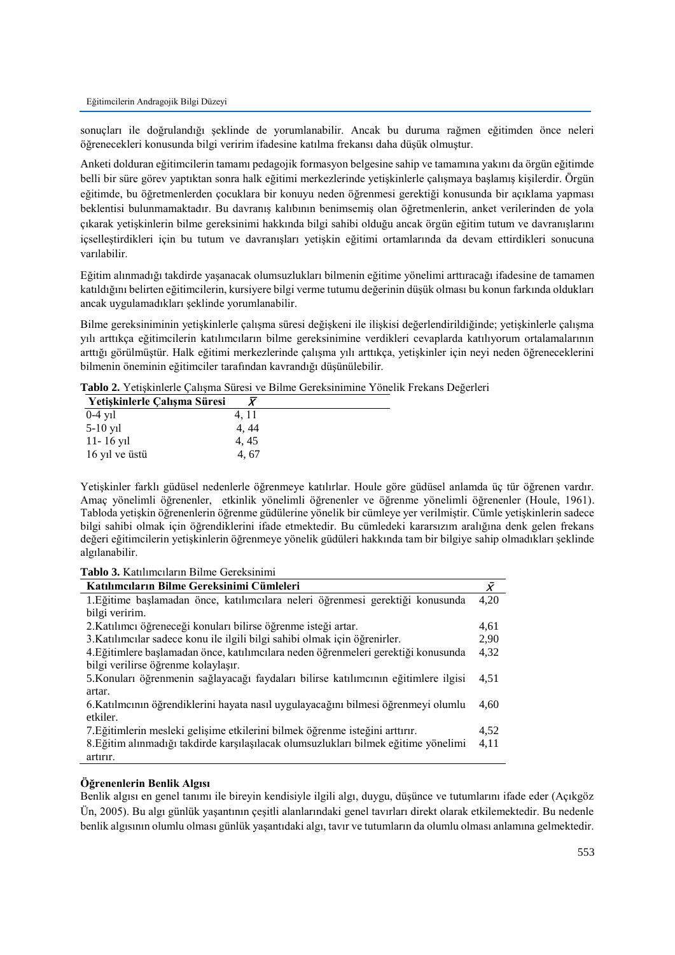sonuçları ile doğrulandığı şeklinde de yorumlanabilir. Ancak bu duruma rağmen eğitimden önce neleri öğrenecekleri konusunda bilgi veririm ifadesine katılma frekansı daha düşük olmuştur.

Anketi dolduran eğitimcilerin tamamı pedagojik formasyon belgesine sahip ve tamamına yakını da örgün eğitimde belli bir süre görev yaptıktan sonra halk eğitimi merkezlerinde yetişkinlerle çalışmaya başlamış kişilerdir. Örgün eğitimde, bu öğretmenlerden çocuklara bir konuyu neden öğrenmesi gerektiği konusunda bir açıklama yapması beklentisi bulunmamaktadır. Bu davranış kalıbının benimsemiş olan öğretmenlerin, anket verilerinden de yola çıkarak yetişkinlerin bilme gereksinimi hakkında bilgi sahibi olduğu ancak örgün eğitim tutum ve davranışlarını içselleştirdikleri için bu tutum ve davranışları yetişkin eğitimi ortamlarında da devam ettirdikleri sonucuna varılabilir.

Eğitim alınmadığı takdirde yaşanacak olumsuzlukları bilmenin eğitime yönelimi arttıracağı ifadesine de tamamen katıldığını belirten eğitimcilerin, kursiyere bilgi verme tutumu değerinin düşük olması bu konun farkında oldukları ancak uygulamadıkları şeklinde yorumlanabilir.

Bilme gereksiniminin yetişkinlerle çalışma süresi değişkeni ile ilişkisi değerlendirildiğinde; yetişkinlerle çalışma yılı arttıkça eğitimcilerin katılımcıların bilme gereksinimine verdikleri cevaplarda katılıyorum ortalamalarının arttığı görülmüştür. Halk eğitimi merkezlerinde çalışma yılı arttıkça, yetişkinler için neyi neden öğreneceklerini bilmenin öneminin eğitimciler tarafından kavrandığı düşünülebilir.

**Tablo 2.** Yetişkinlerle Çalışma Süresi ve Bilme Gereksinimine Yönelik Frekans Değerleri

| Yetişkinlerle Çalışma Süresi |       |
|------------------------------|-------|
| $0-4$ y <sub>1</sub> l       | 4, 11 |
| $5-10$ y <sub>1</sub>        | 4, 44 |
| $11 - 16$ y <sub>1</sub>     | 4, 45 |
| 16 yıl ve üstü               | 4.67  |

Yetişkinler farklı güdüsel nedenlerle öğrenmeye katılırlar. Houle göre güdüsel anlamda üç tür öğrenen vardır. Amaç yönelimli öğrenenler, etkinlik yönelimli öğrenenler ve öğrenme yönelimli öğrenenler (Houle, 1961). Tabloda yetişkin öğrenenlerin öğrenme güdülerine yönelik bir cümleye yer verilmiştir. Cümle yetişkinlerin sadece bilgi sahibi olmak için öğrendiklerini ifade etmektedir. Bu cümledeki kararsızım aralığına denk gelen frekans değeri eğitimcilerin yetişkinlerin öğrenmeye yönelik güdüleri hakkında tam bir bilgiye sahip olmadıkları şeklinde algılanabilir.

|  |  |  |  | Tablo 3. Katılımcıların Bilme Gereksinimi |  |  |  |
|--|--|--|--|-------------------------------------------|--|--|--|
|--|--|--|--|-------------------------------------------|--|--|--|

| Katılımcıların Bilme Gereksinimi Cümleleri                                          |      |
|-------------------------------------------------------------------------------------|------|
| 1. Eğitime başlamadan önce, katılımcılara neleri öğrenmesi gerektiği konusunda      | 4,20 |
| bilgi veririm.                                                                      |      |
| 2. Katılımcı öğreneceği konuları bilirse öğrenme isteği artar.                      | 4,61 |
| 3. Katılımcılar sadece konu ile ilgili bilgi sahibi olmak için öğrenirler.          | 2.90 |
| 4. Eğitimlere başlamadan önce, katılımcılara neden öğrenmeleri gerektiği konusunda  | 4,32 |
| bilgi verilirse öğrenme kolaylaşır.                                                 |      |
| 5. Konuları öğrenmenin sağlayacağı faydaları bilirse katılımcının eğitimlere ilgisi | 4,51 |
| artar.                                                                              |      |
| 6. Katılmcının öğrendiklerini hayata nasıl uygulayacağını bilmesi öğrenmeyi olumlu  | 4.60 |
| etkiler.                                                                            |      |
| 7. Eğitimlerin mesleki gelişime etkilerini bilmek öğrenme isteğini arttırır.        | 4,52 |
| 8. Eğitim alınmadığı takdirde karşılaşılacak olumsuzlukları bilmek eğitime yönelimi | 4,11 |
| artırır.                                                                            |      |

# **Öğrenenlerin Benlik Algısı**

Benlik algısı en genel tanımı ile bireyin kendisiyle ilgili algı, duygu, düşünce ve tutumlarını ifade eder (Açıkgöz Ün, 2005). Bu algı günlük yaşantının çeşitli alanlarındaki genel tavırları direkt olarak etkilemektedir. Bu nedenle benlik algısının olumlu olması günlük yaşantıdaki algı, tavır ve tutumların da olumlu olması anlamına gelmektedir.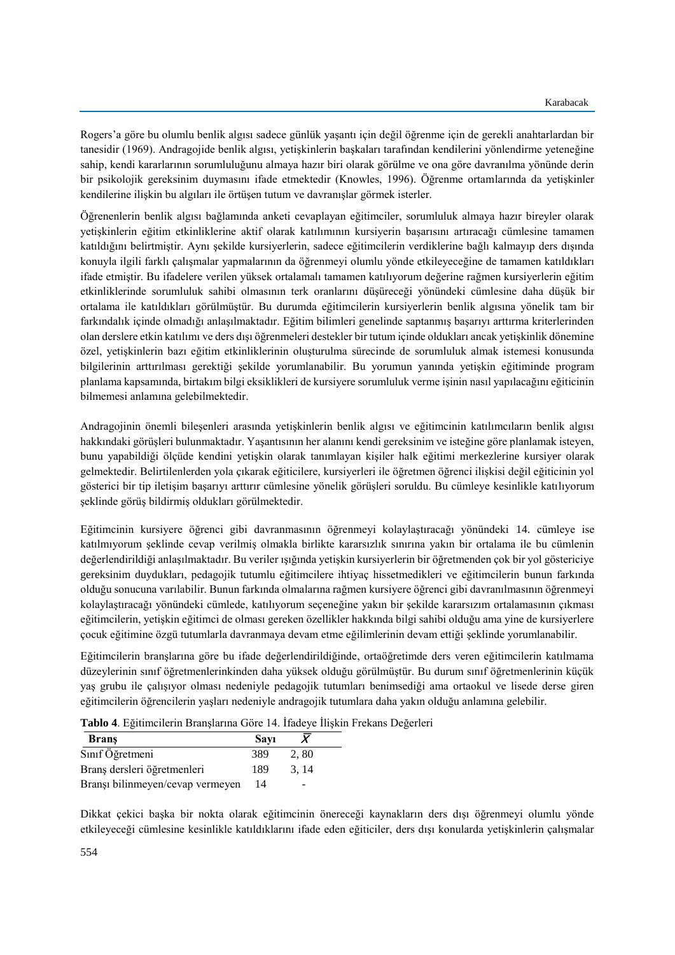Rogers'a göre bu olumlu benlik algısı sadece günlük yaşantı için değil öğrenme için de gerekli anahtarlardan bir tanesidir (1969). Andragojide benlik algısı, yetişkinlerin başkaları tarafından kendilerini yönlendirme yeteneğine sahip, kendi kararlarının sorumluluğunu almaya hazır biri olarak görülme ve ona göre davranılma yönünde derin bir psikolojik gereksinim duymasını ifade etmektedir (Knowles, 1996). Öğrenme ortamlarında da yetişkinler kendilerine ilişkin bu algıları ile örtüşen tutum ve davranışlar görmek isterler.

Öğrenenlerin benlik algısı bağlamında anketi cevaplayan eğitimciler, sorumluluk almaya hazır bireyler olarak yetişkinlerin eğitim etkinliklerine aktif olarak katılımının kursiyerin başarısını artıracağı cümlesine tamamen katıldığını belirtmiştir. Aynı şekilde kursiyerlerin, sadece eğitimcilerin verdiklerine bağlı kalmayıp ders dışında konuyla ilgili farklı çalışmalar yapmalarının da öğrenmeyi olumlu yönde etkileyeceğine de tamamen katıldıkları ifade etmiştir. Bu ifadelere verilen yüksek ortalamalı tamamen katılıyorum değerine rağmen kursiyerlerin eğitim etkinliklerinde sorumluluk sahibi olmasının terk oranlarını düşüreceği yönündeki cümlesine daha düşük bir ortalama ile katıldıkları görülmüştür. Bu durumda eğitimcilerin kursiyerlerin benlik algısına yönelik tam bir farkındalık içinde olmadığı anlaşılmaktadır. Eğitim bilimleri genelinde saptanmış başarıyı arttırma kriterlerinden olan derslere etkin katılımı ve ders dışı öğrenmeleri destekler bir tutum içinde oldukları ancak yetişkinlik dönemine özel, yetişkinlerin bazı eğitim etkinliklerinin oluşturulma sürecinde de sorumluluk almak istemesi konusunda bilgilerinin arttırılması gerektiği şekilde yorumlanabilir. Bu yorumun yanında yetişkin eğitiminde program planlama kapsamında, birtakım bilgi eksiklikleri de kursiyere sorumluluk verme işinin nasıl yapılacağını eğiticinin bilmemesi anlamına gelebilmektedir.

Andragojinin önemli bileşenleri arasında yetişkinlerin benlik algısı ve eğitimcinin katılımcıların benlik algısı hakkındaki görüşleri bulunmaktadır. Yaşantısının her alanını kendi gereksinim ve isteğine göre planlamak isteyen, bunu yapabildiği ölçüde kendini yetişkin olarak tanımlayan kişiler halk eğitimi merkezlerine kursiyer olarak gelmektedir. Belirtilenlerden yola çıkarak eğiticilere, kursiyerleri ile öğretmen öğrenci ilişkisi değil eğiticinin yol gösterici bir tip iletişim başarıyı arttırır cümlesine yönelik görüşleri soruldu. Bu cümleye kesinlikle katılıyorum şeklinde görüş bildirmiş oldukları görülmektedir.

Eğitimcinin kursiyere öğrenci gibi davranmasının öğrenmeyi kolaylaştıracağı yönündeki 14. cümleye ise katılmıyorum şeklinde cevap verilmiş olmakla birlikte kararsızlık sınırına yakın bir ortalama ile bu cümlenin değerlendirildiği anlaşılmaktadır. Bu veriler ışığında yetişkin kursiyerlerin bir öğretmenden çok bir yol göstericiye gereksinim duydukları, pedagojik tutumlu eğitimcilere ihtiyaç hissetmedikleri ve eğitimcilerin bunun farkında olduğu sonucuna varılabilir. Bunun farkında olmalarına rağmen kursiyere öğrenci gibi davranılmasının öğrenmeyi kolaylaştıracağı yönündeki cümlede, katılıyorum seçeneğine yakın bir şekilde kararsızım ortalamasının çıkması eğitimcilerin, yetişkin eğitimci de olması gereken özellikler hakkında bilgi sahibi olduğu ama yine de kursiyerlere çocuk eğitimine özgü tutumlarla davranmaya devam etme eğilimlerinin devam ettiği şeklinde yorumlanabilir.

Eğitimcilerin branşlarına göre bu ifade değerlendirildiğinde, ortaöğretimde ders veren eğitimcilerin katılmama düzeylerinin sınıf öğretmenlerinkinden daha yüksek olduğu görülmüştür. Bu durum sınıf öğretmenlerinin küçük yaş grubu ile çalışıyor olması nedeniyle pedagojik tutumları benimsediği ama ortaokul ve lisede derse giren eğitimcilerin öğrencilerin yaşları nedeniyle andragojik tutumlara daha yakın olduğu anlamına gelebilir.

| Tablo 4. Eğitimcilerin Branşlarına Göre 14. İfadeye İlişkin Frekans Değerleri |  |  |  |
|-------------------------------------------------------------------------------|--|--|--|
|-------------------------------------------------------------------------------|--|--|--|

| <b>Brans</b>                     | Savı |       |  |
|----------------------------------|------|-------|--|
| Sınıf Öğretmeni                  | 389  | 2,80  |  |
| Branş dersleri öğretmenleri      | 189  | 3, 14 |  |
| Branși bilinmeyen/cevap vermeyen | 14   |       |  |

Dikkat çekici başka bir nokta olarak eğitimcinin önereceği kaynakların ders dışı öğrenmeyi olumlu yönde etkileyeceği cümlesine kesinlikle katıldıklarını ifade eden eğiticiler, ders dışı konularda yetişkinlerin çalışmalar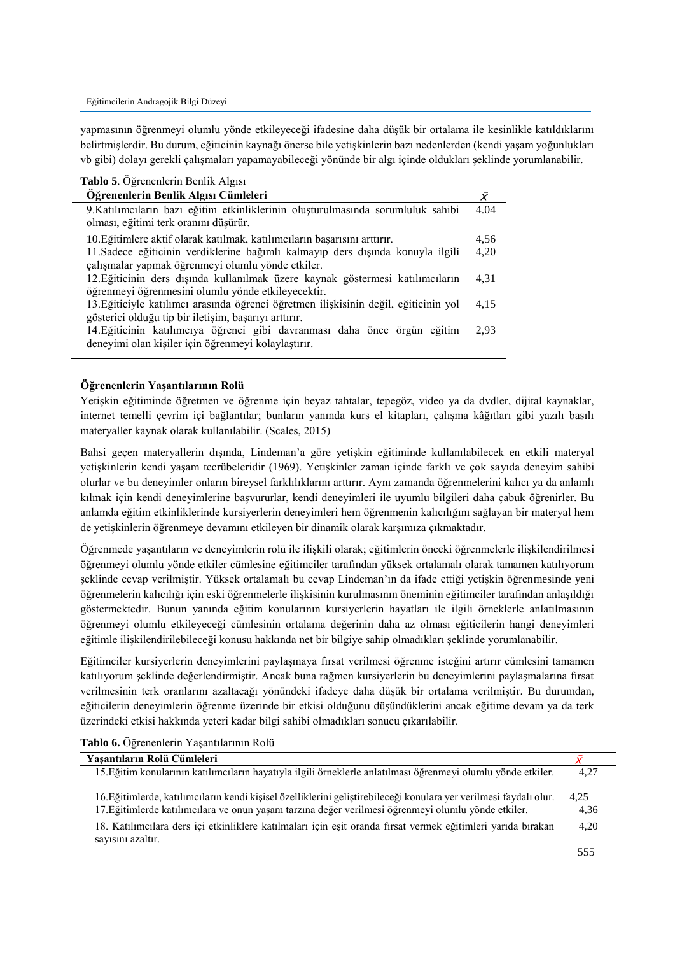yapmasının öğrenmeyi olumlu yönde etkileyeceği ifadesine daha düşük bir ortalama ile kesinlikle katıldıklarını belirtmişlerdir. Bu durum, eğiticinin kaynağı önerse bile yetişkinlerin bazı nedenlerden (kendi yaşam yoğunlukları vb gibi) dolayı gerekli çalışmaları yapamayabileceği yönünde bir algı içinde oldukları şeklinde yorumlanabilir.

| Tablo 5. Öğrenenlerin Benlik Algısı                                                                                                           |              |
|-----------------------------------------------------------------------------------------------------------------------------------------------|--------------|
| Öğrenenlerin Benlik Algısı Cümleleri                                                                                                          | $\bar{\chi}$ |
| 9.Katılımcıların bazı eğitim etkinliklerinin oluşturulmasında sorumluluk sahibi<br>olması, eğitimi terk oranını düşürür.                      | 4.04         |
| 10. Eğitimlere aktif olarak katılmak, katılımcıların başarısını arttırır.                                                                     | 4,56         |
| 11. Sadece eğiticinin verdiklerine bağımlı kalmayıp ders dışında konuyla ilgili<br>çalışmalar yapmak öğrenmeyi olumlu yönde etkiler.          | 4,20         |
| 12. Eğiticinin ders dışında kullanılmak üzere kaynak göstermesi katılımcıların<br>öğrenmeyi öğrenmesini olumlu yönde etkileyecektir.          | 4.31         |
| 13. Eğiticiyle katılımcı arasında öğrenci öğretmen ilişkisinin değil, eğiticinin yol<br>gösterici olduğu tip bir iletişim, başarıyı arttırır. | 4,15         |
| 14. Eğiticinin katılımcıya öğrenci gibi davranması daha önce örgün eğitim<br>deneyimi olan kişiler için öğrenmeyi kolaylaştırır.              | 2.93         |

# **Öğrenenlerin Yaşantılarının Rolü**

Yetişkin eğitiminde öğretmen ve öğrenme için beyaz tahtalar, tepegöz, video ya da dvdler, dijital kaynaklar, internet temelli çevrim içi bağlantılar; bunların yanında kurs el kitapları, çalışma kâğıtları gibi yazılı basılı materyaller kaynak olarak kullanılabilir. (Scales, 2015)

Bahsi geçen materyallerin dışında, Lindeman'a göre yetişkin eğitiminde kullanılabilecek en etkili materyal yetişkinlerin kendi yaşam tecrübeleridir (1969). Yetişkinler zaman içinde farklı ve çok sayıda deneyim sahibi olurlar ve bu deneyimler onların bireysel farklılıklarını arttırır. Aynı zamanda öğrenmelerini kalıcı ya da anlamlı kılmak için kendi deneyimlerine başvururlar, kendi deneyimleri ile uyumlu bilgileri daha çabuk öğrenirler. Bu anlamda eğitim etkinliklerinde kursiyerlerin deneyimleri hem öğrenmenin kalıcılığını sağlayan bir materyal hem de yetişkinlerin öğrenmeye devamını etkileyen bir dinamik olarak karşımıza çıkmaktadır.

Öğrenmede yaşantıların ve deneyimlerin rolü ile ilişkili olarak; eğitimlerin önceki öğrenmelerle ilişkilendirilmesi öğrenmeyi olumlu yönde etkiler cümlesine eğitimciler tarafından yüksek ortalamalı olarak tamamen katılıyorum şeklinde cevap verilmiştir. Yüksek ortalamalı bu cevap Lindeman'ın da ifade ettiği yetişkin öğrenmesinde yeni öğrenmelerin kalıcılığı için eski öğrenmelerle ilişkisinin kurulmasının öneminin eğitimciler tarafından anlaşıldığı göstermektedir. Bunun yanında eğitim konularının kursiyerlerin hayatları ile ilgili örneklerle anlatılmasının öğrenmeyi olumlu etkileyeceği cümlesinin ortalama değerinin daha az olması eğiticilerin hangi deneyimleri eğitimle ilişkilendirilebileceği konusu hakkında net bir bilgiye sahip olmadıkları şeklinde yorumlanabilir.

Eğitimciler kursiyerlerin deneyimlerini paylaşmaya fırsat verilmesi öğrenme isteğini artırır cümlesini tamamen katılıyorum şeklinde değerlendirmiştir. Ancak buna rağmen kursiyerlerin bu deneyimlerini paylaşmalarına fırsat verilmesinin terk oranlarını azaltacağı yönündeki ifadeye daha düşük bir ortalama verilmiştir. Bu durumdan, eğiticilerin deneyimlerin öğrenme üzerinde bir etkisi olduğunu düşündüklerini ancak eğitime devam ya da terk üzerindeki etkisi hakkında yeteri kadar bilgi sahibi olmadıkları sonucu çıkarılabilir.

**Tablo 6.** Öğrenenlerin Yaşantılarının Rolü

| Yaşantıların Rolü Cümleleri                                                                                                                                                                                               |              |
|---------------------------------------------------------------------------------------------------------------------------------------------------------------------------------------------------------------------------|--------------|
| 15. Eğitim konularının katılımcıların hayatıyla ilgili örneklerle anlatılması öğrenmeyi olumlu yönde etkiler.                                                                                                             | 4.27         |
| 16. Eğitimlerde, katılımcıların kendi kişisel özelliklerini geliştirebileceği konulara yer verilmesi faydalı olur.<br>17. Eğitimlerde katılımcılara ve onun yaşam tarzına değer verilmesi öğrenmeyi olumlu yönde etkiler. | 4.25<br>4,36 |
| 18. Katılımcılara ders içi etkinliklere katılmaları için eşit oranda fırsat vermek eğitimleri yarıda bırakan<br>sayısını azaltır.                                                                                         | 4.20         |
|                                                                                                                                                                                                                           | 555          |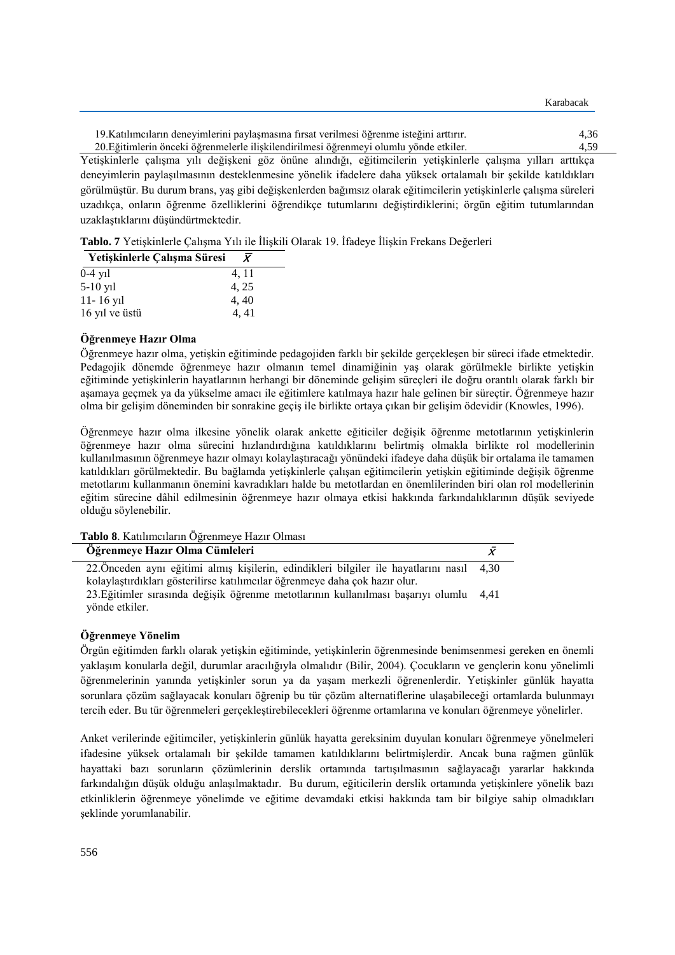| 19. Katılımcıların deneyimlerini paylaşmasına fırsat verilmesi öğrenme isteğini arttırır. | 4.36 |
|-------------------------------------------------------------------------------------------|------|
| 20. Eğitimlerin önceki öğrenmelerle iliskilendirilmesi öğrenmeyi olumlu yönde etkiler.    | 4.59 |

Karabacak

Yetişkinlerle çalışma yılı değişkeni göz önüne alındığı, eğitimcilerin yetişkinlerle çalışma yılları arttıkça deneyimlerin paylaşılmasının desteklenmesine yönelik ifadelere daha yüksek ortalamalı bir şekilde katıldıkları görülmüştür. Bu durum brans, yaş gibi değişkenlerden bağımsız olarak eğitimcilerin yetişkinlerle çalışma süreleri uzadıkça, onların öğrenme özelliklerini öğrendikçe tutumlarını değiştirdiklerini; örgün eğitim tutumlarından uzaklaştıklarını düşündürtmektedir.

**Tablo. 7** Yetişkinlerle Çalışma Yılı ile İlişkili Olarak 19. İfadeye İlişkin Frekans Değerleri

| Yetişkinlerle Çalışma Süresi | $\bar{\bm{X}}$ |
|------------------------------|----------------|
| $0-4$ yil                    | 4, 11          |
| $5-10$ y <sub>1</sub>        | 4, 25          |
| $11 - 16$ yil                | 4,40           |
| 16 yıl ve üstü               | 4.41           |

# **Öğrenmeye Hazır Olma**

Öğrenmeye hazır olma, yetişkin eğitiminde pedagojiden farklı bir şekilde gerçekleşen bir süreci ifade etmektedir. Pedagojik dönemde öğrenmeye hazır olmanın temel dinamiğinin yaş olarak görülmekle birlikte yetişkin eğitiminde yetişkinlerin hayatlarının herhangi bir döneminde gelişim süreçleri ile doğru orantılı olarak farklı bir aşamaya geçmek ya da yükselme amacı ile eğitimlere katılmaya hazır hale gelinen bir süreçtir. Öğrenmeye hazır olma bir gelişim döneminden bir sonrakine geçiş ile birlikte ortaya çıkan bir gelişim ödevidir (Knowles, 1996).

Öğrenmeye hazır olma ilkesine yönelik olarak ankette eğiticiler değişik öğrenme metotlarının yetişkinlerin öğrenmeye hazır olma sürecini hızlandırdığına katıldıklarını belirtmiş olmakla birlikte rol modellerinin kullanılmasının öğrenmeye hazır olmayı kolaylaştıracağı yönündeki ifadeye daha düşük bir ortalama ile tamamen katıldıkları görülmektedir. Bu bağlamda yetişkinlerle çalışan eğitimcilerin yetişkin eğitiminde değişik öğrenme metotlarını kullanmanın önemini kavradıkları halde bu metotlardan en önemlilerinden biri olan rol modellerinin eğitim sürecine dâhil edilmesinin öğrenmeye hazır olmaya etkisi hakkında farkındalıklarının düşük seviyede olduğu söylenebilir.

**Tablo 8**. Katılımcıların Öğrenmeye Hazır Olması

| Öğrenmeye Hazır Olma Cümleleri                                                            |  |
|-------------------------------------------------------------------------------------------|--|
| 22. Önceden aynı eğitimi almış kişilerin, edindikleri bilgiler ile hayatlarını nasıl 4,30 |  |
| kolaylaştırdıkları gösterilirse katılımcılar öğrenmeye daha çok hazır olur.               |  |
| 23. Eğitimler sırasında değişik öğrenme metotlarının kullanılması başarıyı olumlu 4,41    |  |
| yönde etkiler.                                                                            |  |

# **Öğrenmeye Yönelim**

Örgün eğitimden farklı olarak yetişkin eğitiminde, yetişkinlerin öğrenmesinde benimsenmesi gereken en önemli yaklaşım konularla değil, durumlar aracılığıyla olmalıdır (Bilir, 2004). Çocukların ve gençlerin konu yönelimli öğrenmelerinin yanında yetişkinler sorun ya da yaşam merkezli öğrenenlerdir. Yetişkinler günlük hayatta sorunlara çözüm sağlayacak konuları öğrenip bu tür çözüm alternatiflerine ulaşabileceği ortamlarda bulunmayı tercih eder. Bu tür öğrenmeleri gerçekleştirebilecekleri öğrenme ortamlarına ve konuları öğrenmeye yönelirler.

Anket verilerinde eğitimciler, yetişkinlerin günlük hayatta gereksinim duyulan konuları öğrenmeye yönelmeleri ifadesine yüksek ortalamalı bir şekilde tamamen katıldıklarını belirtmişlerdir. Ancak buna rağmen günlük hayattaki bazı sorunların çözümlerinin derslik ortamında tartışılmasının sağlayacağı yararlar hakkında farkındalığın düşük olduğu anlaşılmaktadır. Bu durum, eğiticilerin derslik ortamında yetişkinlere yönelik bazı etkinliklerin öğrenmeye yönelimde ve eğitime devamdaki etkisi hakkında tam bir bilgiye sahip olmadıkları şeklinde yorumlanabilir.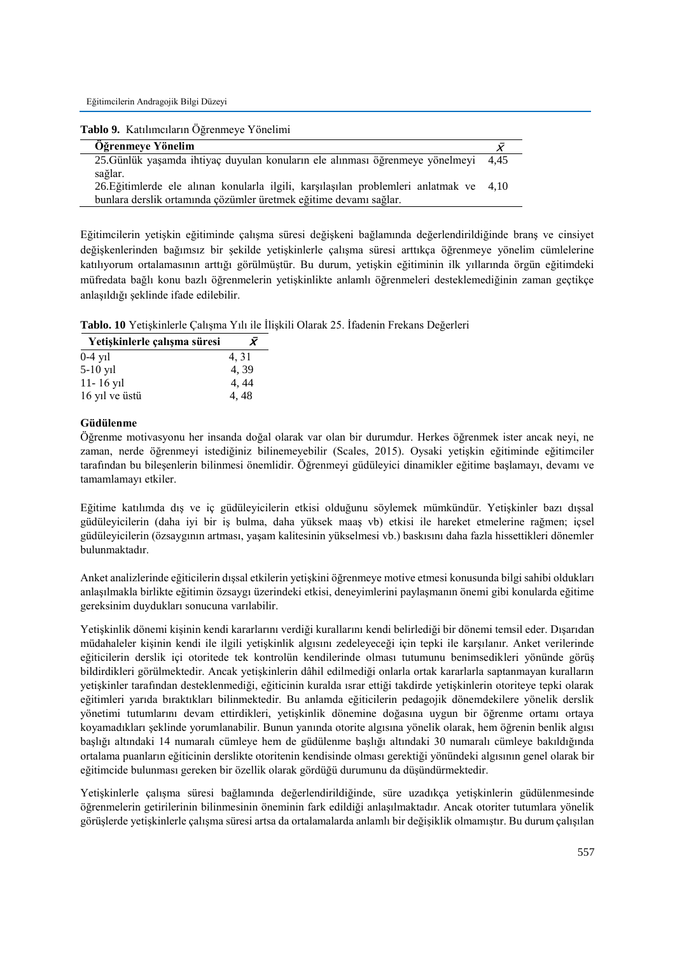Eğitimcilerin Andragojik Bilgi Düzeyi

| Tablo 9. Katılımcıların Öğrenmeye Yönelimi                                                                                                                  |  |
|-------------------------------------------------------------------------------------------------------------------------------------------------------------|--|
| <b>Oğrenmeye Yönelim</b>                                                                                                                                    |  |
| 25. Günlük yaşamda ihtiyaç duyulan konuların ele alınması öğrenmeye yönelmeyi 4,45<br>sağlar.                                                               |  |
| 26. Eğitimlerde ele alınan konularla ilgili, karşılaşılan problemleri anlatmak ve 4,10<br>bunlara derslik ortamında çözümler üretmek eğitime devamı sağlar. |  |

Eğitimcilerin yetişkin eğitiminde çalışma süresi değişkeni bağlamında değerlendirildiğinde branş ve cinsiyet değişkenlerinden bağımsız bir şekilde yetişkinlerle çalışma süresi arttıkça öğrenmeye yönelim cümlelerine katılıyorum ortalamasının arttığı görülmüştür. Bu durum, yetişkin eğitiminin ilk yıllarında örgün eğitimdeki müfredata bağlı konu bazlı öğrenmelerin yetişkinlikte anlamlı öğrenmeleri desteklemediğinin zaman geçtikçe anlaşıldığı şeklinde ifade edilebilir.

**Tablo. 10** Yetişkinlerle Çalışma Yılı ile İlişkili Olarak 25. İfadenin Frekans Değerleri

| Yetişkinlerle çalışma süresi | X     |
|------------------------------|-------|
| $0-4$ yil                    | 4, 31 |
| $5-10$ yil                   | 4.39  |
| $11 - 16$ yil                | 4, 44 |
| 16 yıl ve üstü               | 4,48  |

# **Güdülenme**

Öğrenme motivasyonu her insanda doğal olarak var olan bir durumdur. Herkes öğrenmek ister ancak neyi, ne zaman, nerde öğrenmeyi istediğiniz bilinemeyebilir (Scales, 2015). Oysaki yetişkin eğitiminde eğitimciler tarafından bu bileşenlerin bilinmesi önemlidir. Öğrenmeyi güdüleyici dinamikler eğitime başlamayı, devamı ve tamamlamayı etkiler.

Eğitime katılımda dış ve iç güdüleyicilerin etkisi olduğunu söylemek mümkündür. Yetişkinler bazı dışsal güdüleyicilerin (daha iyi bir iş bulma, daha yüksek maaş vb) etkisi ile hareket etmelerine rağmen; içsel güdüleyicilerin (özsaygının artması, yaşam kalitesinin yükselmesi vb.) baskısını daha fazla hissettikleri dönemler bulunmaktadır.

Anket analizlerinde eğiticilerin dışsal etkilerin yetişkini öğrenmeye motive etmesi konusunda bilgi sahibi oldukları anlaşılmakla birlikte eğitimin özsaygı üzerindeki etkisi, deneyimlerini paylaşmanın önemi gibi konularda eğitime gereksinim duydukları sonucuna varılabilir.

Yetişkinlik dönemi kişinin kendi kararlarını verdiği kurallarını kendi belirlediği bir dönemi temsil eder. Dışarıdan müdahaleler kişinin kendi ile ilgili yetişkinlik algısını zedeleyeceği için tepki ile karşılanır. Anket verilerinde eğiticilerin derslik içi otoritede tek kontrolün kendilerinde olması tutumunu benimsedikleri yönünde görüş bildirdikleri görülmektedir. Ancak yetişkinlerin dâhil edilmediği onlarla ortak kararlarla saptanmayan kuralların yetişkinler tarafından desteklenmediği, eğiticinin kuralda ısrar ettiği takdirde yetişkinlerin otoriteye tepki olarak eğitimleri yarıda bıraktıkları bilinmektedir. Bu anlamda eğiticilerin pedagojik dönemdekilere yönelik derslik yönetimi tutumlarını devam ettirdikleri, yetişkinlik dönemine doğasına uygun bir öğrenme ortamı ortaya koyamadıkları şeklinde yorumlanabilir. Bunun yanında otorite algısına yönelik olarak, hem öğrenin benlik algısı başlığı altındaki 14 numaralı cümleye hem de güdülenme başlığı altındaki 30 numaralı cümleye bakıldığında ortalama puanların eğiticinin derslikte otoritenin kendisinde olması gerektiği yönündeki algısının genel olarak bir eğitimcide bulunması gereken bir özellik olarak gördüğü durumunu da düşündürmektedir.

Yetişkinlerle çalışma süresi bağlamında değerlendirildiğinde, süre uzadıkça yetişkinlerin güdülenmesinde öğrenmelerin getirilerinin bilinmesinin öneminin fark edildiği anlaşılmaktadır. Ancak otoriter tutumlara yönelik görüşlerde yetişkinlerle çalışma süresi artsa da ortalamalarda anlamlı bir değişiklik olmamıştır. Bu durum çalışılan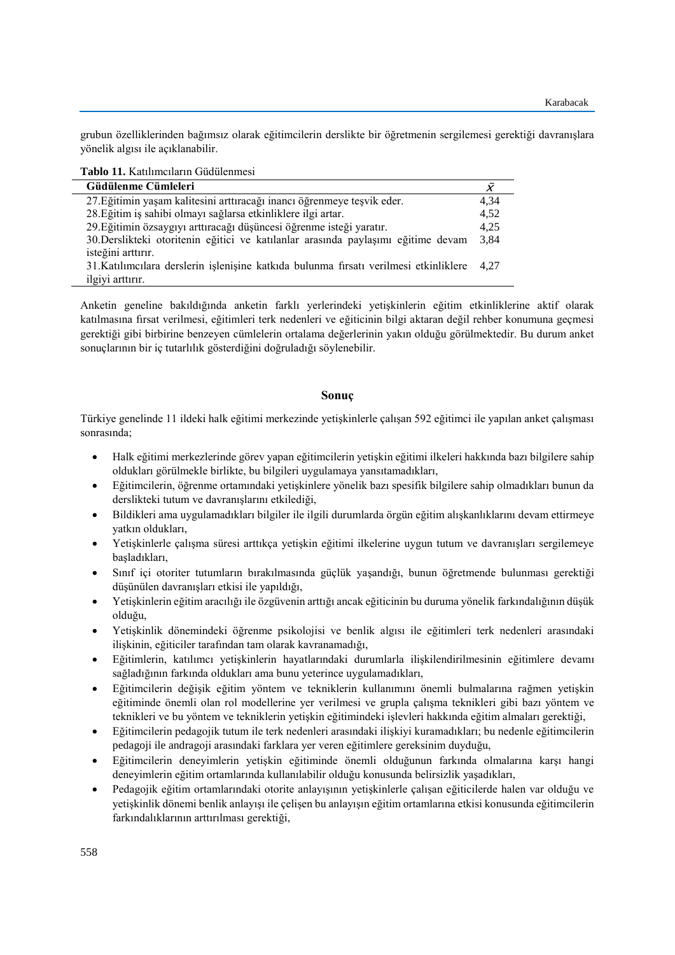grubun özelliklerinden bağımsız olarak eğitimcilerin derslikte bir öğretmenin sergilemesi gerektiği davranışlara yönelik algısı ile açıklanabilir.

**Tablo 11.** Katılımcıların Güdülenmesi

| Güdülenme Cümleleri                                                                  | X    |
|--------------------------------------------------------------------------------------|------|
| 27. Eğitimin yaşam kalitesini arttıracağı inancı öğrenmeye teşvik eder.              | 4,34 |
| 28. Eğitim iş sahibi olmayı sağlarsa etkinliklere ilgi artar.                        | 4,52 |
| 29. Eğitimin özsaygıyı arttıracağı düşüncesi öğrenme isteği yaratır.                 | 4.25 |
| 30.Derslikteki otoritenin eğitici ve katılanlar arasında paylaşımı eğitime devam     | 3.84 |
| isteğini arttırır.                                                                   |      |
| 31.Katılımcılara derslerin işlenişine katkıda bulunma fırsatı verilmesi etkinliklere | 4.27 |
| ilgiyi arttırır.                                                                     |      |

Anketin geneline bakıldığında anketin farklı yerlerindeki yetişkinlerin eğitim etkinliklerine aktif olarak katılmasına fırsat verilmesi, eğitimleri terk nedenleri ve eğiticinin bilgi aktaran değil rehber konumuna geçmesi gerektiği gibi birbirine benzeyen cümlelerin ortalama değerlerinin yakın olduğu görülmektedir. Bu durum anket sonuçlarının bir iç tutarlılık gösterdiğini doğruladığı söylenebilir.

# **Sonuç**

Türkiye genelinde 11 ildeki halk eğitimi merkezinde yetişkinlerle çalışan 592 eğitimci ile yapılan anket çalışması sonrasında;

- Halk eğitimi merkezlerinde görev yapan eğitimcilerin yetişkin eğitimi ilkeleri hakkında bazı bilgilere sahip oldukları görülmekle birlikte, bu bilgileri uygulamaya yansıtamadıkları,
- Eğitimcilerin, öğrenme ortamındaki yetişkinlere yönelik bazı spesifik bilgilere sahip olmadıkları bunun da derslikteki tutum ve davranışlarını etkilediği,
- Bildikleri ama uygulamadıkları bilgiler ile ilgili durumlarda örgün eğitim alışkanlıklarını devam ettirmeye yatkın oldukları,
- Yetişkinlerle çalışma süresi arttıkça yetişkin eğitimi ilkelerine uygun tutum ve davranışları sergilemeye başladıkları,
- Sınıf içi otoriter tutumların bırakılmasında güçlük yaşandığı, bunun öğretmende bulunması gerektiği düşünülen davranışları etkisi ile yapıldığı,
- Yetişkinlerin eğitim aracılığı ile özgüvenin arttığı ancak eğiticinin bu duruma yönelik farkındalığının düşük olduğu,
- Yetişkinlik dönemindeki öğrenme psikolojisi ve benlik algısı ile eğitimleri terk nedenleri arasındaki ilişkinin, eğiticiler tarafından tam olarak kavranamadığı,
- Eğitimlerin, katılımcı yetişkinlerin hayatlarındaki durumlarla ilişkilendirilmesinin eğitimlere devamı sağladığının farkında oldukları ama bunu yeterince uygulamadıkları,
- Eğitimcilerin değişik eğitim yöntem ve tekniklerin kullanımını önemli bulmalarına rağmen yetişkin eğitiminde önemli olan rol modellerine yer verilmesi ve grupla çalışma teknikleri gibi bazı yöntem ve teknikleri ve bu yöntem ve tekniklerin yetişkin eğitimindeki işlevleri hakkında eğitim almaları gerektiği,
- Eğitimcilerin pedagojik tutum ile terk nedenleri arasındaki ilişkiyi kuramadıkları; bu nedenle eğitimcilerin pedagoji ile andragoji arasındaki farklara yer veren eğitimlere gereksinim duyduğu,
- Eğitimcilerin deneyimlerin yetişkin eğitiminde önemli olduğunun farkında olmalarına karşı hangi deneyimlerin eğitim ortamlarında kullanılabilir olduğu konusunda belirsizlik yaşadıkları,
- Pedagojik eğitim ortamlarındaki otorite anlayışının yetişkinlerle çalışan eğiticilerde halen var olduğu ve yetişkinlik dönemi benlik anlayışı ile çelişen bu anlayışın eğitim ortamlarına etkisi konusunda eğitimcilerin farkındalıklarının arttırılması gerektiği,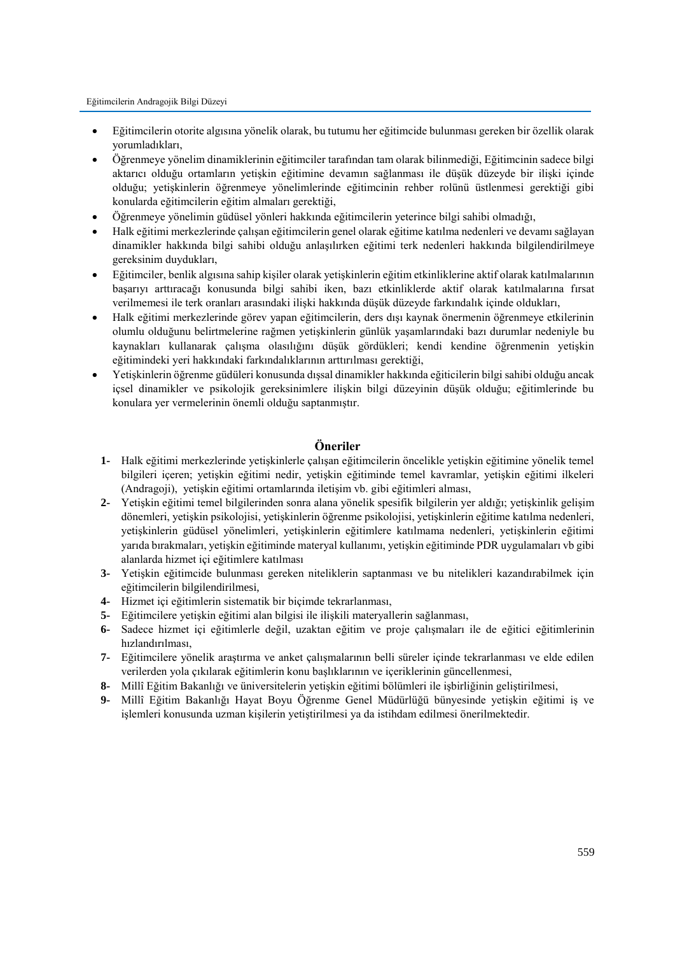- Eğitimcilerin otorite algısına yönelik olarak, bu tutumu her eğitimcide bulunması gereken bir özellik olarak yorumladıkları,
- Öğrenmeye yönelim dinamiklerinin eğitimciler tarafından tam olarak bilinmediği, Eğitimcinin sadece bilgi aktarıcı olduğu ortamların yetişkin eğitimine devamın sağlanması ile düşük düzeyde bir ilişki içinde olduğu; yetişkinlerin öğrenmeye yönelimlerinde eğitimcinin rehber rolünü üstlenmesi gerektiği gibi konularda eğitimcilerin eğitim almaları gerektiği,
- Öğrenmeye yönelimin güdüsel yönleri hakkında eğitimcilerin yeterince bilgi sahibi olmadığı,
- Halk eğitimi merkezlerinde çalışan eğitimcilerin genel olarak eğitime katılma nedenleri ve devamı sağlayan dinamikler hakkında bilgi sahibi olduğu anlaşılırken eğitimi terk nedenleri hakkında bilgilendirilmeye gereksinim duydukları,
- Eğitimciler, benlik algısına sahip kişiler olarak yetişkinlerin eğitim etkinliklerine aktif olarak katılmalarının başarıyı arttıracağı konusunda bilgi sahibi iken, bazı etkinliklerde aktif olarak katılmalarına fırsat verilmemesi ile terk oranları arasındaki ilişki hakkında düşük düzeyde farkındalık içinde oldukları,
- Halk eğitimi merkezlerinde görev yapan eğitimcilerin, ders dışı kaynak önermenin öğrenmeye etkilerinin olumlu olduğunu belirtmelerine rağmen yetişkinlerin günlük yaşamlarındaki bazı durumlar nedeniyle bu kaynakları kullanarak çalışma olasılığını düşük gördükleri; kendi kendine öğrenmenin yetişkin eğitimindeki yeri hakkındaki farkındalıklarının arttırılması gerektiği,
- Yetişkinlerin öğrenme güdüleri konusunda dışsal dinamikler hakkında eğiticilerin bilgi sahibi olduğu ancak içsel dinamikler ve psikolojik gereksinimlere ilişkin bilgi düzeyinin düşük olduğu; eğitimlerinde bu konulara yer vermelerinin önemli olduğu saptanmıştır.

# **Öneriler**

- **1-** Halk eğitimi merkezlerinde yetişkinlerle çalışan eğitimcilerin öncelikle yetişkin eğitimine yönelik temel bilgileri içeren; yetişkin eğitimi nedir, yetişkin eğitiminde temel kavramlar, yetişkin eğitimi ilkeleri (Andragoji), yetişkin eğitimi ortamlarında iletişim vb. gibi eğitimleri alması,
- **2-** Yetişkin eğitimi temel bilgilerinden sonra alana yönelik spesifik bilgilerin yer aldığı; yetişkinlik gelişim dönemleri, yetişkin psikolojisi, yetişkinlerin öğrenme psikolojisi, yetişkinlerin eğitime katılma nedenleri, yetişkinlerin güdüsel yönelimleri, yetişkinlerin eğitimlere katılmama nedenleri, yetişkinlerin eğitimi yarıda bırakmaları, yetişkin eğitiminde materyal kullanımı, yetişkin eğitiminde PDR uygulamaları vb gibi alanlarda hizmet içi eğitimlere katılması
- **3-** Yetişkin eğitimcide bulunması gereken niteliklerin saptanması ve bu nitelikleri kazandırabilmek için eğitimcilerin bilgilendirilmesi,
- **4-** Hizmet içi eğitimlerin sistematik bir biçimde tekrarlanması,
- **5-** Eğitimcilere yetişkin eğitimi alan bilgisi ile ilişkili materyallerin sağlanması,
- **6-** Sadece hizmet içi eğitimlerle değil, uzaktan eğitim ve proje çalışmaları ile de eğitici eğitimlerinin hızlandırılması,
- **7-** Eğitimcilere yönelik araştırma ve anket çalışmalarının belli süreler içinde tekrarlanması ve elde edilen verilerden yola çıkılarak eğitimlerin konu başlıklarının ve içeriklerinin güncellenmesi,
- **8-** Millî Eğitim Bakanlığı ve üniversitelerin yetişkin eğitimi bölümleri ile işbirliğinin geliştirilmesi,
- **9-** Millî Eğitim Bakanlığı Hayat Boyu Öğrenme Genel Müdürlüğü bünyesinde yetişkin eğitimi iş ve işlemleri konusunda uzman kişilerin yetiştirilmesi ya da istihdam edilmesi önerilmektedir.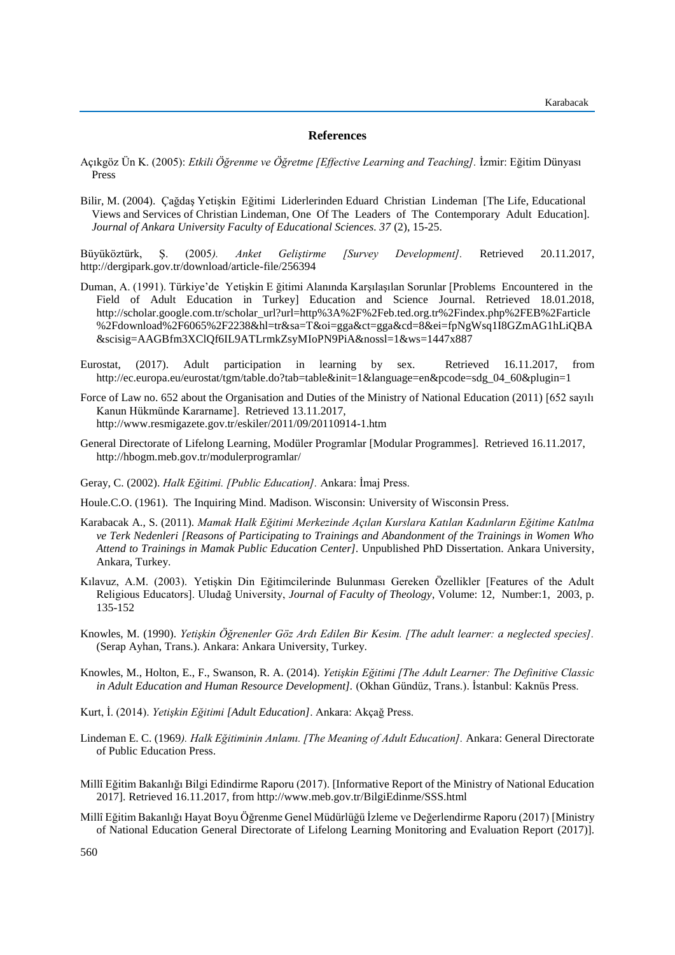### **References**

- Açıkgöz Ün K. (2005): *Etkili Öğrenme ve Öğretme [Effective Learning and Teaching].* İzmir: Eğitim Dünyası Press
- Bilir, M. (2004). Çağdaş Yetişkin Eğitimi Liderlerinden Eduard Christian Lindeman [The Life, Educational Views and Services of Christian Lindeman, One Of The Leaders of The Contemporary Adult Education]*. Journal of Ankara University Faculty of Educational Sciences. 37* (2), 15-25.

Büyüköztürk, Ş. (2005*). Anket Geliştirme [Survey Development].* Retrieved 20.11.2017, http://dergipark.gov.tr/download/article-file/256394

- Duman, A. (1991). Türkiye'de Yetişkin E ğitimi Alanında Karşılaşılan Sorunlar [Problems Encountered in the Field of Adult Education in Turkey] Education and Science Journal. Retrieved 18.01.2018, http://scholar.google.com.tr/scholar\_url?url=http%3A%2F%2Feb.ted.org.tr%2Findex.php%2FEB%2Farticle %2Fdownload%2F6065%2F2238&hl=tr&sa=T&oi=gga&ct=gga&cd=8&ei=fpNgWsq1I8GZmAG1hLiQBA &scisig=AAGBfm3XClQf6IL9ATLrmkZsyMIoPN9PiA&nossl=1&ws=1447x887
- Eurostat, (2017). Adult participation in learning by sex. Retrieved 16.11.2017, from http://ec.europa.eu/eurostat/tgm/table.do?tab=table&init=1&language=en&pcode=sdg\_04\_60&plugin=1
- Force of Law no. 652 about the Organisation and Duties of the Ministry of National Education (2011) [652 sayılı Kanun Hükmünde Kararname]. Retrieved 13.11.2017, http://www.resmigazete.gov.tr/eskiler/2011/09/20110914-1.htm
- General Directorate of Lifelong Learning, Modüler Programlar [Modular Programmes]. Retrieved 16.11.2017, http://hbogm.meb.gov.tr/modulerprogramlar/
- Geray, C. (2002). *Halk Eğitimi. [Public Education].* Ankara: İmaj Press.
- Houle.C.O. (1961). The Inquiring Mind. Madison. Wisconsin: University of Wisconsin Press.
- Karabacak A., S. (2011). *Mamak Halk Eğitimi Merkezinde Açılan Kurslara Katılan Kadınların Eğitime Katılma ve Terk Nedenleri [Reasons of Participating to Trainings and Abandonment of the Trainings in Women Who Attend to Trainings in Mamak Public Education Center].* Unpublished PhD Dissertation. Ankara University, Ankara, Turkey.
- Kılavuz, A.M. (2003). Yetişkin Din Eğitimcilerinde Bulunması Gereken Özellikler [Features of the Adult Religious Educators]. Uludağ University, *Journal of Faculty of Theology*, Volume: 12, Number:1, 2003, p. 135-152
- Knowles, M. (1990). *Yetişkin Öğrenenler Göz Ardı Edilen Bir Kesim. [The adult learner: a neglected species].* (Serap Ayhan, Trans.). Ankara: Ankara University, Turkey.
- Knowles, M., Holton, E., F., Swanson, R. A. (2014). *Yetişkin Eğitimi [The Adult Learner: The Definitive Classic in Adult Education and Human Resource Development].* (Okhan Gündüz, Trans.). İstanbul: Kaknüs Press.
- Kurt, İ. (2014). *Yetişkin Eğitimi [Adult Education]*. Ankara: Akçağ Press.
- Lindeman E. C. (1969*). Halk Eğitiminin Anlamı. [The Meaning of Adult Education].* Ankara: General Directorate of Public Education Press.
- Millî Eğitim Bakanlığı Bilgi Edindirme Raporu (2017). [Informative Report of the Ministry of National Education 2017]. Retrieved 16.11.2017, from http://www.meb.gov.tr/BilgiEdinme/SSS.html
- Millî Eğitim Bakanlığı Hayat Boyu Öğrenme Genel Müdürlüğü İzleme ve Değerlendirme Raporu (2017) [Ministry of National Education General Directorate of Lifelong Learning Monitoring and Evaluation Report (2017)].